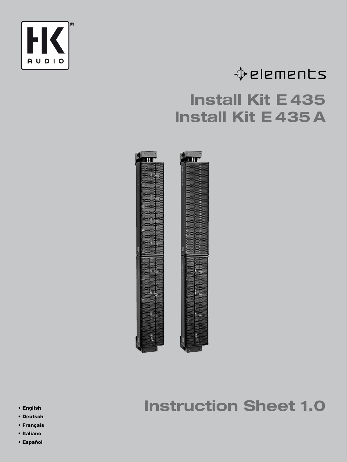

# $\triangle$  elements

# **Install Kit E 435 Install Kit E 435 A**



## **Instruction Sheet 1.0**

- **English**
- **Deutsch**
- **Français**
- **Italiano**
- **Español**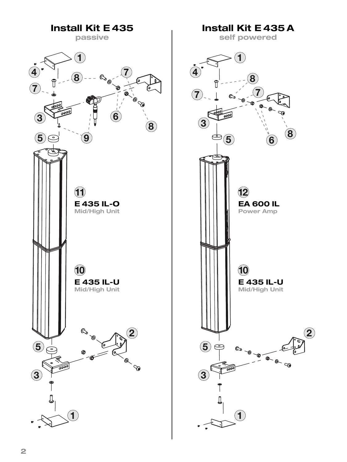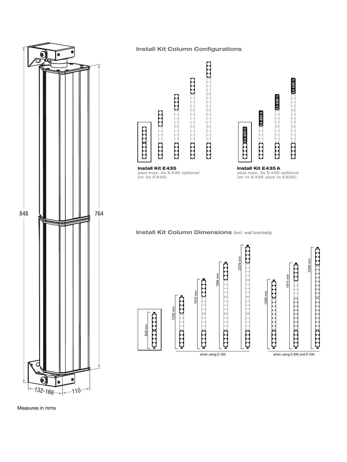

#### **Install Kit Column Configurations**



when using E 435 when using E 835 and E 435

Measures in mms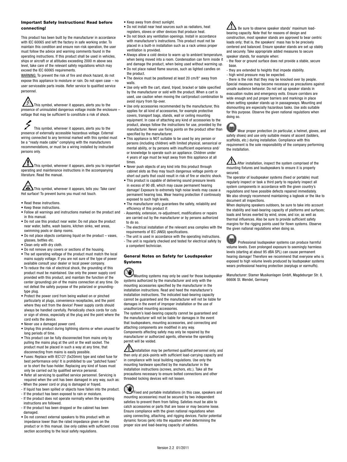#### **Important Safety Instructions! Read before connecting!**

This product has been built by the manufacturer in accordance with IEC 60065 and left the factory in safe working order. To maintain this condition and ensure non-risk operation, the user must follow the advice and warning comments found in the operating instructions. If this product shall be used in vehicles, ships or aircraft or at altitudes exceeding 2000 m above sea level, take care of the relevant safety regulations which may exceed the IEC 60065 requirements.

WARNING: To prevent the risk of fire and shock hazard, do not expose this appliance to moisture or rain. Do not open case – no user serviceable parts inside. Refer service to qualified service personnel.

This symbol, wherever it appears, alerts you to the presence of uninsulated dangerous voltage inside the enclosure – voltage that may be sufficient to constitute a risk of shock.

This symbol, wherever it appears, alerts you to the presence of externally accessible hazardous voltage. External wiring connected to any terminal marked with this symbol must be a "ready made cable" complying with the manufacturers recommendations, or must be a wiring installed by instructed persons only.

This symbol, wherever it appears, alerts you to important operating and maintenance instructions in the accompanying literature. Read the manual.

 $\boldsymbol{\Delta}$ This symbol, wherever it appears, tells you: Take care! Hot surface! To prevent burns you must not touch.

- Read these instructions.
- Keep these instructions.
- Follow all warnings and instructions marked on the product and in this manual.
- Do not use this product near water. Do not place the product near water, baths, wash basins, kitchen sinks, wet areas, swimming pools or damp rooms.
- Do not place objects containing liquid on the product vases, glasses, bottles etc.
- Clean only with dry cloth.
- Do not remove any covers or sections of the housing.
- The set operating voltage of the product must match the local mains supply voltage. If you are not sure of the type of power available consult your dealer or local power company.
- To reduce the risk of electrical shock, the grounding of this product must be maintained. Use only the power supply cord provided with this product, and maintain the function of the center (grounding) pin of the mains connection at any time. Do not defeat the safety purpose of the polarized or groundingtype plug.
- Protect the power cord from being walked on or pinched particularly at plugs, convenience receptacles, and the point where they exit from the device! Power supply cords should always be handled carefully. Periodically check cords for cuts or sign of stress, especially at the plug and the point where the cord exits the device.
- Never use a damaged power cord.
- Unplug this product during lightning storms or when unused for long periods of time.
- This product can be fully disconnected from mains only by pulling the mains plug at the unit or the wall socket. The product must be placed in such a way at any time, that disconnecting from mains is easily possible.
- Fuses: Replace with IEC127 (5x20mm) type and rated fuse for best performance only! It is prohibited to use "patched fuses" or to short the fuse-holder. Replacing any kind of fuses must only be carried out by qualified service personal.
- Refer all servicing to qualified service personnel. Servicing is required when the unit has been damaged in any way, such as:
- When the power cord or plug is damaged or frayed.
- If liquid has been spilled or objects have fallen into the product.
- If the product has been exposed to rain or moisture. - If the product does not operate normally when the operating instructions are followed.
- If the product has been dropped or the cabinet has been damaged.
- Do not connect external speakers to this product with an impedance lower than the rated impedance given on the product or in this manual. Use only cables with sufficient cross section according to the local safety regulations.
- Keep away from direct sunlight
- Do not install near heat sources such as radiators, heat registers, stoves or other devices that produce heat.
- Do not block any ventilation openings. Install in accordance with manufacturer's instructions. This product must not be placed in a built-in installation such as a rack unless proper ventilation is provided.
- Always allow a cold device to warm up to ambient temperature, when being moved into a room. Condensation can form inside it and damage the product, when being used without warming up.
- Do not place naked flame sources, such as lighted candles on the product.
- The device must be positioned at least 20 cm/8" away from walls
- Use only with the cart, stand, tripod, bracket or table specified by the manufacturer or sold with the product. When a cart is used, use caution when moving the cart/product combination to avoid injury from tip-over.
- Use only accessories recommended by the manufacturer, this applies for all kind of accessories, for example protective covers, transport bags, stands, wall or ceiling mounting equipment. In case of attaching any kind of accessories to the product, always follow the instructions for use, provided by the manufacturer. Never use fixing points on the product other than specified by the manufacturer.
- This appliance is NOT suitable to be used by any person or persons (including children) with limited physical, sensorical or mental ability, or by persons with insufficient experience and/ or knowledge to operate such an appliance. Children under 4 years of age must be kept away from this appliance at all times.
- Never push objects of any kind into this product through cabinet slots as they may touch dangerous voltage points or short out parts that could result in risk of fire or electric shock.
- This product is capable of delivering sound pressure levels in excess of 90 dB, which may cause permanent hearing damage! Exposure to extremely high noise levels may cause a permanent hearing loss. Wear hearing protection if continously exposed to such high levels.
- The manufacturer only guarantees the safety, reliability and efficiency of this product if:
- Assembly, extension, re-adjustment, modifications or repairs are carried out by the manufacturer or by persons authorized to do so.
- The electrical installation of the relevant area complies with the requirements of IEC (ANSI) specifications.
- The unit is used in accordance with the operating instructions. - The unit is regularly checked and tested for electrical safety by
- a competent technician.

#### **General Notes on Safety for Loudspeaker Systems**

Mounting systems may only be used for those loudspeaker systems authorized by the manufacturer and only with the mounting accessories specified by the manufacturer in the installation instructions. Read and heed the manufacturer's installation instructions. The indicated load-bearing capacity cannot be guaranteed and the manufacturer will not be liable for damages in the event of improper installation or the use of unauthorized mounting accessories.

The system's load-bearing capacity cannot be guaranteed and the manufacturer will not be liable for damages in the event that loudspeakers, mounting accessories, and connecting and attaching components are modified in any way. Components affecting safety may only be repaired by the manufacturer or authorized agents, otherwise the operating permit will be voided.

Installation may be performed qualified personnel only, and then only at pick-points with sufficient load-carrying capacity and in compliance with local building regulations. Use only the mounting hardware specified by the manufacturer in the installation instructions (screws, anchors, etc.). Take all the precautions necessary to ensure bolted connections and other threaded locking devices will not loosen.

Fixed and portable installations (in this case, speakers and mounting accessories) must be secured by two independent safeties to prevent them from falling. Safeties must be able to catch accessories or parts that are loose or may become loose. Ensure compliance with the given national regulations when using connecting, attaching, and rigging devices. Factor potential dynamic forces (jerk) into the equation when determining the proper size and load-bearing capacity of safeties.

Be sure to observe speaker stands' maximum loadbearing capacity. Note that for reasons of design and construction, most speaker stands are approved to bear centric loads only; that is, the speakers' mass has to be precisely centered and balanced. Ensure speaker stands are set up stably and securely. Take appropriate added measures to secure speaker stands, for example when:

- the floor or ground surface does not provide a stable, secure base.

- they are extended to heights that impede stability. - high wind pressure may be expected.

- there is the risk that they may be knocked over by people. Special measures may become necessary as precautions against unsafe audience behavior. Do not set up speaker stands in evacuation routes and emergency exits. Ensure corridors are wide enough and put proper barriers and markings in place when setting speaker stands up in passageways. Mounting and dismounting are especially hazardous tasks. Use aids suitable for this purpose. Observe the given national regulations when doing so.

Wear proper protection (in particular, a helmet, gloves, and safety shoes) and use only suitable means of ascent (ladders, scaffolds, etc.) during installation. Compliance with this requirement is the sole responsibility of the company performing the installation.

After installation, inspect the system comprised of the mounting fixtures and loudspeakers to ensure it is properly secured.

The operator of loudspeaker systems (fixed or portable) must regularly inspect or task a third party to regularly inspect all system components in accordance with the given country's regulations and have possible defects repaired immediately. We also strongly recommend maintaining a logbook or the like to document all inspections.

When deploying speakers outdoors, be sure to take into account the stability and load-bearing capacity of platforms and surfaces; loads and forces exerted by wind, snow, and ice; as well as thermal influences. Also be sure to provide sufficient safety margins for the rigging points used for flown systems. Observe the given national regulations when doing so.

Professional loudspeaker systems can produce harmful volume levels. Even prolonged exposure to seemingly harmless levels (starting at about 95 dBA SPL) can cause permanent hearing damage! Therefore we recommend that everyone who is exposed to high volume levels produced by loudspeaker systems wears professional hearing protection (earplugs or earmuffs).

Manufacturer: Stamer Musikanlagen GmbH, Magdeburger Str. 8, 66606 St. Wendel, Germany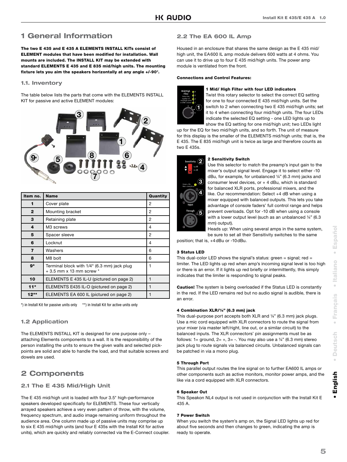### **1 General Information**

**The two E 435 and E 435 A ELEMENTS INSTALL KITs consist of ELEMENT modules that have been modified for installation. Wall mounts are included. The INSTALL KIT may be extended with standard ELEMENTS E 435 and E 835 mid/high units. The mounting fixture lets you aim the speakers horizontally at any angle +/-90°.**

#### **1.1. Inventory**

The table below lists the parts that come with the ELEMENTS INSTALL KIT for passive and active ELEMENT modules:



| Item no.     | <b>Name</b>                                                                | Quantity |
|--------------|----------------------------------------------------------------------------|----------|
| 1            | Cover plate                                                                | 2        |
| $\mathbf{2}$ | Mounting bracket                                                           | 2        |
| 3            | Retaining plate                                                            | 2        |
| 4            | M <sub>3</sub> screws                                                      | 4        |
| 5            | Spacer sleeve                                                              | 2        |
| 6            | Locknut                                                                    | 4        |
| 7            | Washers                                                                    | 6        |
| 8            | M8 bolt                                                                    | 6        |
| $9*$         | Terminal block with 1/4" (6.3 mm) jack plug<br>$+3.5$ mm x 13 mm screw $*$ | 1        |
| 10           | ELEMENTS E 435 IL-U (pictured on page 2)                                   | 1        |
| $11*$        | ELEMENTS E435 IL-O (pictured on page 2)                                    | 1        |
| $12**$       | ELEMENTS EA 600 IL (pictured on page 2)                                    |          |

\*) in Install Kit for passive units only \*\*) in Install Kit for active units only

#### **1.2 Application**

The ELEMENTS INSTALL KIT is designed for one purpose only – attaching Elements components to a wall. It is the responsibility of the person installing the units to ensure the given walls and selected pickpoints are solid and able to handle the load, and that suitable screws and dowels are used.

### **2 Components**

#### **2.1 The E 435 Mid/High Unit**

The E 435 mid/high unit is loaded with four 3.5" high-performance speakers developed specifically for ELEMENTS. These four vertically arrayed speakers achieve a very even pattern of throw, with the volume, frequency spectrum, and audio image remaining uniform throughout the audience area. One column made up of passive units may comprise up to six E 435 mid/high units (and four E 435s with the Install Kit for active units), which are quickly and reliably connected via the E-Connect coupler.

#### **2.2 The EA 600 IL Amp**

Housed in an enclosure that shares the same design as the E 435 mid/ high unit, the EA 600 IL amp module delivers 600 watts at 4 ohms. You can use it to drive up to four E 435 mid/high units. The power amp module is ventilated from the front.

#### **Connections and Control Features:**



#### **1 Mid/ High Filter with four LED indicators**

Twist this rotary selector to select the correct EQ setting for one to four connected E 435 mid/high units. Set the switch to 2 when connecting two E 435 mid/high units; set it to 4 when connecting four mid/high units. The four LEDs indicate the selected EQ setting - one LED lights up to show the EQ setting for one mid/high unit; two LEDs light

up for the EQ for two mid/high units, and so forth. The unit of measure for this display is the smaller of the ELEMENTS mid/high units; that is, the E 435. The E 835 mid/high unit is twice as large and therefore counts as two E 435s.



#### **2 Sensitivity Switch**

Use this selector to match the preamp's input gain to the mixer's output signal level. Engage it to select either -10 dBu, for example, for unbalanced ¼" (6.3 mm) jacks and consumer level devices, or  $+$  4 dBu, which is standard for balanced XLR ports, professional mixers, and the like. Our recommendation: Select +4 dB when using a mixer equipped with balanced outputs. This lets you take advantage of console faders' full control range and helps prevent overloads. Opt for -10 dB when using a console with a lower output level (such as an unbalanced 1/4" (6.3) mm) output). Heads up: When using several amps in the same system,

be sure to set all their Sensitivity switches to the same

position; that is, +4 dBu or -10 dBu.

#### **3 Status LED**

This dual-color LED shows the signal's status: green = signal;  $red =$ limiter. The LED lights up red when amp's incoming signal level is too high or there is an error. If it lights up red briefly or intermittently, this simply indicates that the limiter is responding to signal peaks.

**Caution!** The system is being overloaded if the Status LED is constantly in the red. If the LED remains red but no audio signal is audible, there is an error.

#### **4 Combination XLR/¼" (6.3 mm) jack**

This dual-purpose port accepts both XLR and ¼" (6.3 mm) jack plugs. Use a mic cord equipped with XLR connectors to route the signal from your mixer (via master left/right, line out, or a similar circuit) to the balanced inputs. The XLR connectors' pin assignments must be as follows: 1= ground,  $2= +$ ,  $3= -$ . You may also use a  $\frac{1}{4}$ " (6.3 mm) stereo jack plug to route signals via balanced circuits. Unbalanced signals can be patched in via a mono plug.

#### **5 Through Port**

This parallel output routes the line signal on to further EA600 IL amps or other components such as active monitors, monitor power amps, and the like via a cord equipped with XLR connectors.

#### **6 Speaker Out**

This Speakon NL4 output is not used in conjunction with the Install Kit E 435 A.

#### **7 Power Switch**

When you switch the system's amp on, the Signal LED lights up red for about five seconds and then changes to green, indicating the amp is ready to operate.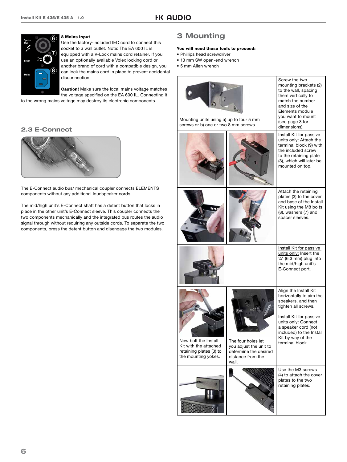

#### **8 Mains Input**

Use the factory-included IEC cord to connect this socket to a wall outlet. Note: The EA 600 IL is equipped with a V-Lock mains cord retainer. If you use an optionally available Volex locking cord or another brand of cord with a compatible design, you can lock the mains cord in place to prevent accidental disconnection.

**Caution!** Make sure the local mains voltage matches the voltage specified on the EA 600 IL. Connecting it

to the wrong mains voltage may destroy its electronic components.

#### **2.3 E-Connect**



The E-Connect audio bus/ mechanical coupler connects ELEMENTS components without any additional loudspeaker cords.

The mid/high unit's E-Connect shaft has a detent button that locks in place in the other unit's E-Connect sleeve. This coupler connects the two components mechanically and the integrated bus routes the audio signal through without requiring any outside cords. To separate the two components, press the detent button and disengage the two modules.

### **3 Mounting**

#### **You will need these tools to proceed:**

- Phillips head screwdriver
- 13 mm SW open-end wrench
- 5 mm Allen wrench

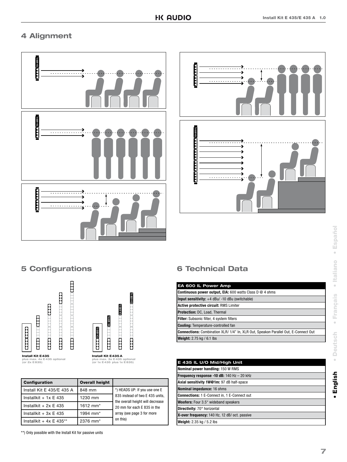### **4 Alignment**





### **5 Configurations**



| <b>Configuration</b>        | <b>Overall height</b> |                                                                     |  |
|-----------------------------|-----------------------|---------------------------------------------------------------------|--|
| Install Kit E 435/E 435 A   | 848 mm                | *) HEADS UP: If you use one E                                       |  |
| Installkit + $1x \nE 435$   | 1230 mm               | 835 instead of two E 435 units,<br>the overall height will decrease |  |
| Installkit + $2x \nE 435$   | 1612 mm <sup>*</sup>  | 20 mm for each E 835 in the                                         |  |
| Installkit + $3x \nE 435$   | 1994 mm <sup>*</sup>  | array (see page 3 for more                                          |  |
| Installkit + $4x \nE 435**$ | 2376 mm <sup>*</sup>  | on this)                                                            |  |

\*\*) Only possible with the Install Kit for passive units

### **6 Technical Data**

| EA 600 IL Power Amp                                                                        |
|--------------------------------------------------------------------------------------------|
| <b>Continuous power output, EIA:</b> 600 watts Class D @ 4 ohms                            |
| Input sensitivity: $+4$ dBu/ $-10$ dBu (switchable)                                        |
| Active protective circuit: RMS Limiter                                                     |
| <b>Protection: DC, Load, Thermal</b>                                                       |
| Filter: Subsonic filter, 4 system filters                                                  |
| <b>Cooling: Temperature-controlled fan</b>                                                 |
| <b>Connections:</b> Combination XLR/ 1/4" In, XLR Out, Speakon Parallel Out, E-Connect Out |
| Weight: 2.75 kg / 6.1 lbs                                                                  |

| E 435 IL U/O Mid/High Unit                          |
|-----------------------------------------------------|
| Nominal power handling: 150 W RMS                   |
| <b>Frequency response -10 dB:</b> 140 Hz $-$ 20 kHz |
| Axial sensitivity 1W@1m: 97 dB half-space           |
| Nominal impedance: 16 ohms                          |
| <b>Connections:</b> 1 E-Connect in, 1 E-Connect out |
| <b>Woofers:</b> Four 3.5" wideband speakers         |
| Directivity: 70° horizontal                         |
| X-over frequency: 140 Hz, 12 dB/ oct. passive       |
| <b>Weight:</b> 2.35 kg / 5.2 lbs                    |

 $\bullet$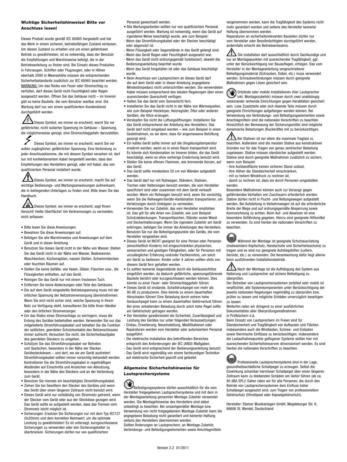#### **Wichtige Sicherheitshinweise! Bitte vor Anschluss lesen!**

Dieses Produkt wurde gemäß IEC 60065 hergestellt und hat das Werk in einem sicheren, betriebsfähigen Zustand verlassen. Um diesen Zustand zu erhalten und um einen gefahrlosen Betrieb zu gewährleisten, ist es notwendig, dass der Benutzer die Empfehlungen und Warnhinweise befolgt, die in der Betriebsanleitung zu finden sind. Bei Einsatz dieses Produktes in Fahrzeugen, Schiffen oder Flugzeugen, oder in Höhen oberhalb 2000 m Meereshöhe müssen die entsprechenden Sicherheitsstandards zusätzlich zur IEC 60065 beachtet werden. WARNUNG: Um das Risiko von Feuer oder Stromschlag zu verhüten, darf dieses Gerät nicht Feuchtigkeit oder Regen ausgesetzt werden. Öffnen Sie das Gehäuse nicht – im Inneren gibt es keine Bauteile, die vom Benutzer wartbar sind. Die Wartung darf nur von einem qualifiziertem Kundendienst durchgeführt werden.

Dieses Symbol, wo immer es erscheint, warnt Sie vor gefährlicher, nicht isolierter Spannung im Gehäuse – Spannung, die möglicherweise genügt, eine Stromschlaggefahr darzustellen.

Dieses Symbol, wo immer es erscheint, warnt Sie vor außen zugänglicher, gefährlicher Spannung. Eine Verbindung zu jeder Anschlussklemme, die mit diesem Symbol versehen ist, darf nur mit konfektioniertem Kabel hergestellt werden, dass den Empfehlungen des Herstellers genügt, oder mit Kabel, das von qualifiziertem Personal installiert wurde.

Dieses Symbol, wo immer es erscheint, macht Sie auf wichtige Bedienungs- und Wartungsanweisungen aufmerksam, die in beiliegenden Unterlagen zu finden sind. Bitte lesen Sie das Handbuch.

Dieses Symbol, wo immer es erscheint, sagt Ihnen: Vorsicht! Heiße Oberfläche! Um Verbrennungen zu vermeiden, nicht anfassen.

- Bitte lesen Sie diese Anweisungen.
- Bewahren Sie diese Anweisungen auf.
- Befolgen Sie alle Warnhinweise und Anweisungen auf dem Gerät und in dieser Anleitung.
- Benutzen Sie dieses Gerät nicht in der Nähe von Wasser. Stellen Sie das Gerät nicht in der Nähe von Wasser, Badewannen, Waschbecken, Küchenspülen, nassen Stellen, Schwimmbecken oder feuchten Räumen auf.
- Stellen Sie keine Gefäße, wie Vasen, Gläser, Flaschen usw., die Flüssigkeiten enthalten, auf das Gerät.
- Reinigen Sie das Gerät nur mit einem trockenen Tuch.
- Entfernen Sie keine Abdeckungen oder Teile des Gehäuses. • Die auf dem Gerät eingestellte Betriebsspannung muss mit der
- örtlichen Spannung der Netzstromversorgung übereinstimmen. Wenn Sie sich nicht sicher sind, welche Spannung in Ihrem Netz zur Verfügung steht, konsultieren Sie bitte Ihren Händler oder den örtlichen Stromversorger.
- Um das Risiko eines Stromschlags zu verringern, muss die Erdung des Gerätes beibehalten werden. Verwenden Sie nur das mitgelieferte Stromführungskabel und behalten Sie die Funktion der seitlichen, geerdeten Schutzkontakte des Netzanschlusses immer aufrecht. Versuchen Sie nicht, die Sicherheitsaufgabe des geerdeten Steckers zu umgehen.
- Schützen Sie das Stromführungskabel vor Betreten und Quetschen, besonders in der Nähe der Stecker, Gerätesteckdosen – und dort, wo sie am Gerät austreten! Stromführungskabel sollten immer vorsichtig behandelt werden. Kontrollieren Sie die Stromführungskabel in regelmäßigen Abständen auf Einschnitte und Anzeichen von Abnutzung, besonders in der Nähe des Steckers und an der Verbindung zum Gerät.
- Benutzen Sie niemals ein beschädigtes Stromführungskabel. • Ziehen Sie bei Gewittern den Stecker des Gerätes und wenn das Gerät über einen längeren Zeitraum nicht benutzt wird.
- Dieses Gerät wird nur vollständig von Stromnetz getrennt, wenn der Stecker vom Gerät oder aus der Steckdose gezogen wird. Das Gerät sollte so aufgestellt werden, dass das Trennen vom Stromnetz leicht möglich ist.
- Sicherungen: Ersetzen Sie Sicherungen nur mit dem Typ IEC127 (5x20mm) und dem korrekten Nennwert, um die optimale Leistung zu gewährleisten! Es ist untersagt, kurzgeschlossene Sicherungen zu verwenden oder den Sicherungshalter zu überbrücken. Sicherungen dürfen nur von qualifiziertem

Personal gewechselt werden.

- Alle Wartungsarbeiten sollten nur von qualifiziertem Personal ausgeführt werden. Wartung ist notwendig, wenn das Gerät auf irgendeine Weise beschädigt wurde, wie zum Beispiel:
- Wenn das Stromführungskabel oder der Stecker beschädigt oder abgenutzt ist.
- Wenn Flüssigkeit oder Gegenstände in das Gerät gelangt sind. - Wenn das Gerät Regen oder Feuchtigkeit ausgesetzt war.
- Wenn das Gerät nicht ordnungsgemäß funktioniert, obwohl die Bedienungsanleitung beachtet wurde.
- Wenn das Gerät hingefallen ist oder das Gehäuse beschädigt wurde.
- Beim Anschluss von Lautsprechern an dieses Gerät darf die auf dem Gerät oder in dieser Anleitung angegebene Mindestimpedanz nicht unterschritten werden. Die verwendeten Kabel müssen entsprechend den lokalen Regelungen über einen ausreichenden Querschnitt verfügen.
- Halten Sie das Gerät vom Sonnenlicht fern.
- Installieren Sie das Gerät nicht in der Nähe von Wärmequellen, wie zum Beispiel Heizkörper, Heizregister, Öfen oder anderen Geräten, die Hitze erzeugen.
- Verstopfen Sie nicht die Lüftungsöffnungen. Installieren Sie das Gerät entsprechend der Anleitung des Herstellers. Das Gerät darf nicht eingebaut werden – wie zum Beispiel in einen Gestellrahmen, es sei denn, dass für angemessene Belüftung gesorgt wird.
- Ein kaltes Gerät sollte immer auf die Umgebungstemperatur erwärmt werden, wenn es in einen Raum transportiert wird. Es könnte sich Kondensation im Inneren bilden, die das Gerät beschädigt, wenn es ohne vorherige Erwärmung benutzt wird.
- Stellen Sie keine offenen Flammen, wie brennende Kerzen, auf das Gerät.
- Das Gerät sollte mindestens 20 cm von Wänden aufgestellt werden.
- Das Gerät darf nur mit Rollwagen, Ständern, Stativen, Tischen oder Halterungen benutzt werden, die vom Hersteller spezifiziert sind oder zusammen mit dem Gerät verkauft wurden. Wenn ein Rollwagen benutzt wird, seien Sie vorsichtig, wenn Sie die Rollwagen/Geräte-Kombination transportieren, um Verletzungen durch Umkippen zu vermeiden.
- Verwenden Sie nur Zubehör, das vom Hersteller empfohlen ist. Das gilt für alle Arten von Zubehör, wie zum Beispiel Schutzabdeckungen, Transporttaschen, Ständer sowie Wandund Deckenhalterungen. Wenn Sie irgendein Zubehör am Gerät anbringen, befolgen Sie immer die Anleitungen des Herstellers. Benutzen Sie nur die Befestigungspunkte des Geräts, die vom Hersteller vorgesehen sind.
- Dieses Gerät ist NICHT geeignet für eine Person oder Personen (einschließlich Kindern) mit eingeschränkten physischen, sensorischen und geistigen Fähigkeiten, oder für Personen mit unzulänglicher Erfahrung und/oder Fachkenntnis, um solch ein Gerät zu bedienen. Kinder unter 4 Jahren sollten stets von diesem Gerät fern gehalten werden.
- Es sollten keinerlei Gegenstände durch die Gehäuseschlitze eingeführt werden, da dadurch gefährliche, spannungsführende Bauteile berührt oder kurzgeschlossen werden können. Dies könnte zu einer Feuer- oder Stromschlaggefahr führen.
- Dieses Gerät ist imstande, Schalldruckpegel von mehr als 90 dB zu produzieren. Dies könnte zu einem dauerhaften Hörschaden führen! Eine Belastung durch extrem hohe Geräuschpegel kann zu einem dauerhaften Gehörverlust führen. Bei einer anhaltenden Belastung durch solch hohe Pegel sollte ein Gehörschutz getragen werden.
- Der Hersteller gewährleistet die Sicherheit, Zuverlässigkeit und Leistung des Gerätes nur unter folgenden Voraussetzungen:
- Einbau, Erweiterung, Neueinstellung, Modifikationen oder Reparaturen werden vom Hersteller oder autorisiertem Personal ausgeführt.
- Die elektrische Installation des betreffenden Bereiches entspricht den Anforderungen der IEC (ANSI) Maßgaben.
- Das Gerät wird entsprechend der Bedienungsanleitung benutzt.
- Das Gerät wird regelmäßig von einem fachkundigen Techniker auf elektrische Sicherheit geprüft und getestet.

#### **Allgemeine Sicherheitshinweise für Lautsprechersysteme**

Befestigungssysteme dürfen ausschließlich für die vom Hersteller freigegebenen Lautsprechersysteme und mit dem in der Montageanleitung genannten Montage-Zubehör verwendet werden. Die Montagehinweise des Herstellers sind dabei unbedingt zu beachten. Bei unsachgemäßer Montage bzw. Verwendung von nicht freigegebenem Montage-Zubehör kann die angegebene Belastung nicht garantiert und keinerlei Haftung seitens des Herstellers übernommen werden.

Sollten Änderungen an Lautsprechern, an Montage-Zubehör, Verbindungs- und Befestigungselementen sowie Anschlagmitteln vorgenommen werden, kann die Tragfähigkeit des Systems nicht mehr garantiert werden und seitens des Hersteller keinerlei Haftung übernommen werden.

Reparaturen an sicherheitsrelevanten Bauteilen dürfen nur vom Hersteller oder Bevollmächtigten durchgeführt werden, andernfalls erlischt die Betriebserlaubnis.

Die Installation darf ausschließlich durch Sachkundige und nur an Montagepunkten mit ausreichender Tragfähigkeit, ggf. unter der Berücksichtigung von Bauauflagen, erfolgen. Das vom Hersteller in der Montageanleitung vorgeschriebene Befestigungsmaterial (Schrauben, Dübel, etc.) muss verwendet werden. Schraubverbindungen müssen durch geeignete Maßnahmen gegen Lösen gesichert sein.

Ortsfeste oder mobile Installationen (hier Lautsprecher  $\infty$ inkl. Montagezubehör) müssen durch zwei unabhängig voneinander wirkende Einrichtungen gegen Herabfallen gesichert sein. Lose Zusatzteile oder sich lösende Teile müssen durch geeignete Einrichtungen aufgefangen werden können. Bei Verwendung von Verbindungs- und Befestigungselementen sowie Anschlagmitteln sind die nationalen Vorschriften zu beachten. Hinsichtlich der Bemessung der Sicherungsmittel sind mögliche dynamische Belastungen (Ruckkräfte) mit zu berücksichtigen.

 $\boldsymbol{\Delta}$  Bei Stativen ist vor allem die maximale Traglast zu beachten. Außerdem sind die meisten Stative aus konstruktiven Gründen nur für das Tragen von genau zentrischer Belastung zugelassen. Stative müssen standsicher aufgestellt werden. Stative sind durch geeignete Maßnahmen zusätzlich zu sichern, wenn zum Beispiel:

- ihre Aufstandfläche keinen sicheren Stand zulässt,
- ihre Höhen die Standsicherheit einschränken,
- mit zu hohem Winddruck zu rechnen ist, - damit zu rechnen ist, dass sie durch Personen umgestoßen werden.

Besondere Maßnahmen können auch zur Vorsorge gegen gefährdendes Verhalten von Zuschauern erforderlich werden. Stative dürfen nicht in Flucht- und Rettungswegen aufgestellt werden. Bei Aufstellung in Verkehrswegen ist auf die erforderliche Breite der Wege und auf ordnungsgemäße Absperrung sowie Kennzeichnung zu achten. Beim Auf- und Absetzen ist eine besondere Gefährdung gegeben. Hierzu sind geeignete Hilfsmittel zu verwenden. Es sind hierbei die nationalen Vorschriften zu beachten.

Während der Montage ist geeignete Schutzausrüstung (insbesondere Kopfschutz, Handschuhe und Sicherheitsschuhe) zu tragen und es sind nur geeignete Aufstiegshilfen (Leitern, Gerüste, etc.) zu verwenden. Die Verantwortung dafür liegt alleine beim ausführenden Installationsbetrieb.

 Nach der Montage ist die Aufhängung des System aus Halterung und Lautsprecher auf sichere Befestigung zu überprüfen.

Der Betreiber von Lautsprechersystemen (ortsfest oder mobil) ist verpflichtet, alle Systemkomponenten unter Berücksichtigung der jeweils nationalen Regelungen regelmäßig zu überprüfen bzw. prüfen zu lassen und mögliche Schäden unverzüglich beseitigen zu lassen.

Weiterhin raten wir dringend zu einer ausführlichen Dokumentation aller Überprüfungsmaßnahmen

#### in Prüfbüchern o.ä.

Beim Einsatz von Lautsprechern im Freien sind für Standsicherheit und Tragfähigkeit von Aufbauten und Flächen insbesondere auch die Windlasten, Schnee- und Eislasten sowie thermische Einflüsse zu berücksichtigen. Insbesondere die Lastaufnahmepunkte geflogener Systeme sollten hier mit ausreichenden Sicherheitsreserven dimensioniert werden. Es sind hierbei die nationalen Vorschriften zu beachten.



Professionelle Lautsprechersysteme sind in der Lage, gesundheitsschädliche Schallpegel zu erzeugen. Selbst die Einwirkung scheinbar harmloser Schallpegel über einen längeren Zeitraum kann zu bleibenden Schäden am Gehör führen (ab ca. 95 dBA SPL)! Daher raten wir für alle Personen, die durch den Betrieb von Lautsprechersystemen dem Einfluss hoher Schallpegel ausgesetzt sind, zum Tragen von professionellem Gehörschutz (Ohrstöpsel oder Kapselgehörschutz).

Hersteller: Stamer Musikanlagen GmbH, Magdeburger Str. 8, 66606 St. Wendel, Deutschland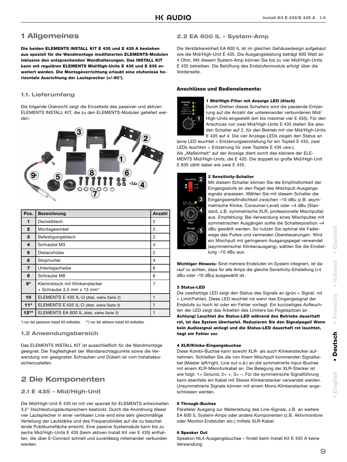### **1 Allgemeines**

**Die beiden ELEMENTS INSTALL KIT E 435 und E 435 A bestehen**  aus speziell für die Wandmontage modifizierten ELEMENTS-Modulen **inklusive den entsprechenden Wandhalterungen. Das INSTALL KIT kann mit regulären ELEMENTS Mid/High-Units E 435 und E 835 erweitert werden. Die Montagevorrichtung erlaubt eine stufenlose horizontale Ausrichtung der Lautsprecher (+/-90°).** 

#### **1.1. Lieferumfang**

Die folgende Übersicht zeigt die Einzelteile des passiven und aktiven ELEMENTS INSTALL KIT, die zu den ELEMENTS-Modulen geliefert werden:



| Pos.         | <b>Bezeichnung</b>                                          | Anzahl |
|--------------|-------------------------------------------------------------|--------|
| 1            | Deckelblech                                                 | 2      |
| $\mathbf{2}$ | Montagewinkel                                               | 2      |
| 3            | Befestigungsblech                                           | 2      |
| 4            | Schraube M3                                                 | 4      |
| 5            | Distanzhülse                                                | 2      |
| 6            | Stopmutter                                                  | 4      |
| 7            | Unterlegscheibe                                             | 6      |
| 8            | Schraube M8                                                 | 6      |
| 9*           | Klemmblock mit Klinkenstecker<br>+ Schraube 3,5 mm x 13 mm* | 1      |
| 10           | ELEMENTS E 435 IL-U (Abb. siehe Seite 2)                    | 1      |
| $11*$        | ELEMENTS E 435 IL-O (Abb. siehe Seite 2)                    | 1      |
| $12**$       | ELEMENTS EA 600 IL (Abb. siehe Seite 2)                     | 1      |

\*) nur bei passivem Install Kit enthalten \*\*) nur bei aktivem Install Kit enthalten

#### **1.2 Anwendungsbereich**

Das ELEMENTS INSTALL KIT ist ausschließlich für die Wandmontage geeignet. Die Tragfestigkeit der Wandanschlagpunkte sowie die Verwendung von geeigneten Schrauben und Dübeln ist vom Installateur sicherzustellen.

### **2 Die Komponenten**

#### **2.1 E 435 – Mid/High-Unit**

Die Mid/High-Unit E 435 ist mit vier speziell für ELEMENTS entwickelten 3,5" Hochleistungslautsprechern bestückt. Durch die Anordnung dieser vier Lautsprecher in einer vertikalen Linie wird eine sehr gleichmäßige Verteilung der Lautstärke und des Frequenzbildes auf die zu beschallende Publikumsfläche erreicht. Eine passive Systemsäule kann bis zu sechs Mid/High-Units E 435 (beim aktiven Install Kit vier E 435) enthalten, die über E-Connect schnell und zuverlässig miteinander verbunden werden.

#### **2.2 EA 600 IL – System-Amp**

Die Verstärkereinheit EA 600 IL ist im gleichen Gehäusedesign aufgebaut wie die Mid/High-Unit E 435. Die Ausgangsleistung beträgt 600 Watt an 4 Ohm. Mit diesem System-Amp können Sie bis zu vier Mid/High-Units E 435 betreiben. Die Belüftung des Endstufenmoduls erfolgt über die Vorderseite.

#### **Anschlüsse und Bedienelemente:**



#### **1 Mid/High-Filter mit Anzeige LED (4fach)**

Durch Drehen dieses Schalters wird die passende Entzerrung auf die Anzahl der untereinander verbundenen Mid/ High-Units eingestellt (ein bis maximal vier E 435). Für den Anschluss von zwei Mid/High-Units E 435 stellen Sie also den Schalter auf 2, für den Betrieb mit vier Mid/High-Units E 435 auf 4. Die vier Anzeige-LEDs zeigen den Status an

(eine LED leuchtet = Entzerrungseinstellung für ein Topteil E 435, zwei LEDs leuchten = Entzerrung für zwei Topteile E 435 usw.).

Als "Maßeinheit" auf der Anzeige dient somit das kleinere der ELE-MENTS Mid/High-Units, die E 435. Die doppelt so große Mid/High-Unit E 835 zählt dabei wie zwei E 435.



#### **2 Sensitivity-Schalter**

Mit diesem Schalter können Sie die Empfindlichkeit der Eingangsstufe an den Pegel des Mischpult-Ausgangssignals anpassen. Wählen Sie mit diesem Schalter die Eingangsempfindlichkeit zwischen –10 dBu (z.B. asymmetrische Klinke, Consumer-Level) oder +4 dBu (Standard, z.B. symmetrische XLR, professionelle Mischpulte) aus. Empfehlung: Bei Verwendung eines Mischpultes mit symmetrischen Ausgängen sollte die Schalterposition +4 dBu gewählt werden. So nutzen Sie optimal die Faderwege des Pultes und vermeiden Übersteuerungen. Wird ein Mischpult mit geringerem Ausgangspegel verwendet (asymmetrischer Klinkenausgang), wählen Sie die Einstellung –10 dBu aus.

**Wichtiger Hinweis:** Sind mehrere Endstufen im System integriert, ist darauf zu achten, dass für alle Amps die gleiche Sensitivity-Einstellung (+4 dBu oder –10 dBu) ausgewählt ist.

#### **3 Status-LED**

Die zweifarbige LED zeigt den Status des Signals an (grün = Signal, rot = Limit/Fehler). Diese LED leuchtet rot wenn das Eingangssignal der Endstufe zu hoch ist oder ein Fehler vorliegt. Ein kurzzeitiges Aufleuchten der LED zeigt das Arbeiten des Limiters bei Pegelspitzen an . **Achtung! Leuchtet die Status-LED während des Betriebs dauerhaft rot, ist das System überlastet. Reduzieren Sie den Signalpegel! Wenn kein Audiosignal anliegt und die Status-LED dauerhaft rot leuchtet, liegt ein Fehler vor.**

#### **4 XLR/Klinke-Eingangsbuchse**

Diese Kombi-Buchse kann sowohl XLR- als auch Klinkenstecker aufnehmen. Schließen Sie die von Ihrem Mischpult kommenden Signalkabel (Master left/right, Line out o.ä.) an die symmetrierte Input-Buchse mit einem XLR-Mikrofonkabel an. Die Belegung der XLR-Stecker ist wie folgt: 1= Ground, 2= +, 3= -. Für die symmetrische Signalführung kann ebenfalls ein Kabel mit Stereo-Klinkenstecker verwendet werden. Unsymmetrierte Signale können mit einem Mono-Klinkenstecker angeschlossen werden.

#### **5 Through-Buchse**

Paralleler Ausgang zur Weiterleitung des Line-Signals, z.B. an weitere EA 600 IL System-Amps oder andere Komponenten (z.B. Aktivmonitore oder Monitor-Endstufen etc.) mittels XLR-Kabel.

#### **6 Speaker Out**

Speakon NL4-Ausgangsbuchse – findet beim Install Kit E 435 A keine Verwendung.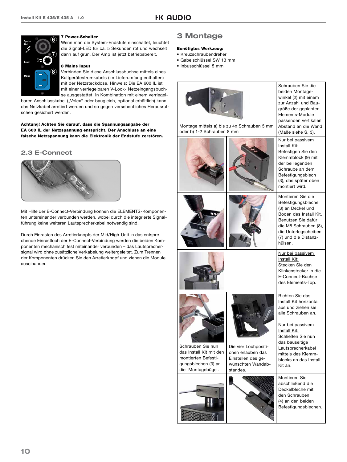

#### **7 Power-Schalter**

Wenn man die System-Endstufe einschaltet, leuchtet die Signal-LED für ca. 5 Sekunden rot und wechselt dann auf grün. Der Amp ist jetzt betriebsbereit.

#### **8 Mains Input**

Verbinden Sie diese Anschlussbuchse mittels eines Kaltgerätestromkabels (im Lieferumfang enthalten) mit der Netzsteckdose. Hinweis: Die EA 600 IL ist mit einer verriegelbaren V-Lock- Netzeingangsbuchse ausgestattet. In Kombination mit einem verriegel-

baren Anschlusskabel ("Volex" oder baugleich, optional erhältlich) kann das Netzkabel arretiert werden und so gegen versehentliches Herausrutschen gesichert werden.

**Achtung! Achten Sie darauf, dass die Spannungsangabe der EA 600 IL der Netzspannung entspricht. Der Anschluss an eine falsche Netzspannung kann die Elektronik der Endstufe zerstören.**

#### **2.3 E-Connect**



Mit Hilfe der E-Connect-Verbindung können die ELEMENTS-Komponenten untereinander verbunden werden, wobei durch die integrierte Signalführung keine weiteren Lautsprecherkabel notwendig sind.

Durch Einrasten des Arretierknopfs der Mid/High-Unit in das entsprechende Einrastloch der E-Connect-Verbindung werden die beiden Komponenten mechanisch fest miteinander verbunden – das Lautsprechersignal wird ohne zusätzliche Verkabelung weitergeleitet. Zum Trennen der Komponenten drücken Sie den Arretierknopf und ziehen die Module auseinander.

### **3 Montage**

#### **Benötigtes Werkzeug:**

- Kreuzschraubendreher
- Gabelschlüssel SW 13 mm
- Inbusschlüssel 5 mm

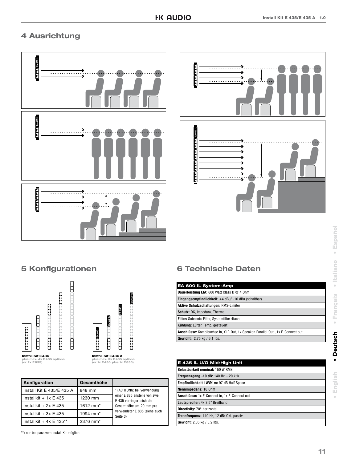### **4 Ausrichtung**





### **5 Konfigurationen**



| Konfiguration               | Gesamthöhe           |                                                            |  |
|-----------------------------|----------------------|------------------------------------------------------------|--|
| Install Kit E 435/E 435 A   | 848 mm               | *) ACHTUNG: bei Verwendung                                 |  |
| Installkit + $1x \nE 435$   | 1230 mm              | einer E 835 anstelle von zwei<br>E 435 verringert sich die |  |
| Installkit + $2x \nE 435$   | 1612 mm <sup>*</sup> | Gesamthöhe um 20 mm pro                                    |  |
| Installkit + $3x \nE 435$   | 1994 mm <sup>*</sup> | verwendeter E 835 (siehe auch<br>Seite 3)                  |  |
| Installkit + $4x \nE 435**$ | 2376 mm <sup>*</sup> |                                                            |  |

\*\*) nur bei passivem Install Kit möglich

### **6 Technische Daten**

| EA 600 IL System-Amp                                                            |
|---------------------------------------------------------------------------------|
| Dauerleistung EIA: 600 Watt Class D @ 4 0hm                                     |
| <b>Eingangsempfindlichkeit:</b> $+4$ dBu/ $-10$ dBu (schaltbar)                 |
| Aktive Schutzschaltungen: RMS-Limiter                                           |
| Schutz: DC, Impedanz, Thermo                                                    |
| Filter: Subsonic-Filter, Systemfilter 4fach                                     |
| Kühlung: Lüfter, Temp. gesteuert                                                |
| Anschlüsse: Kombibuchse In, XLR Out, 1x Speakon Parallel Out., 1x E-Connect out |
| <b>Gewicht:</b> 2,75 kg / 6,1 lbs.                                              |

| E 435 IL U/O Mid/High Unit                    |
|-----------------------------------------------|
| <b>Belastbarkeit nominal: 150 W RMS</b>       |
| <b>Frequenzgang -10 dB:</b> 140 Hz $-$ 20 kHz |
| Empfindlichkeit 1W@1m: 97 dB Half Space       |
| Nennimpedanz: 16 Ohm                          |
| Anschlüsse: 1x E-Connect in, 1x E-Connect out |
| Lautsprecher: 4x 3.5" Breitband               |
| Directivity: 70° horizontal                   |
| Trennfrequenz: 140 Hz, 12 dB/ Okt. passiv     |
| <b>Gewicht:</b> 2.35 kg / 5.2 lbs.            |

 $\ddot{\phantom{a}}$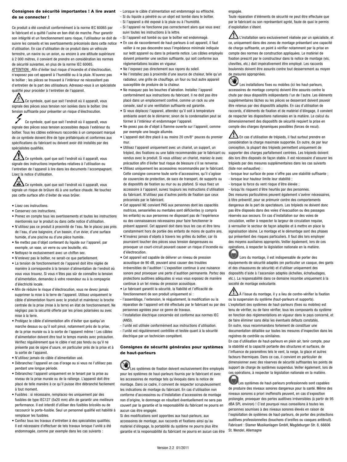#### **Consignes de sécurité importantes ! A lire avant**  - Lorsque le câble d'alimentation est endommagé ou effiloché. **de se connecter !**

Ce produit a été construit conformément à la norme IEC 60065 par le fabricant et a quitté l'usine en bon état de marche. Pour garantir son intégrité et un fonctionnement sans risque, l'utilisateur se doit de suivre les conseils et les avertissements préconisés dans cette notice d'utilisation. En cas d'utilisation de ce produit dans un véhicule terrestre, un navire ou un avion, ou encore à une altitude supérieure à 2 000 mètres, il convient de prendre en considération les normes de sécurité suivantes, en plus de la norme IEC 60065.

ATTENTION : Afin d'éviter tout risque d'incendie et d'électrocution, n'exposez pas cet appareil à l'humidité ou à la pluie. N'ouvrez pas le boîtier ; les pièces se trouvant à l'intérieur ne nécessitent pas d'entretien de la part des utilisateurs. Adressez-vous à un spécialiste qualifié pour procéder à l'entretien de l'appareil.

Ce symbole, quel que soit l'endroit où il apparaît, vous signale des pièces sous tension non isolées dans le boîtier. Une tension suffisante pour présenter un risque d'électrocution.

Ce symbole, quel que soit l'endroit où il apparaît, vous signale des pièces sous tension accessibles depuis l'extérieur du boîtier. Tous les câbles extérieurs raccordés à un composant marqué de ce symbole doivent être de type préfabriqués et conformes aux spécifications du fabricant ou doivent avoir été installés par des spécialistes qualifiés.

Ce symbole, quel que soit l'endroit où il apparaît, vous signale des instructions importantes relatives à l'utilisation ou l'entretien de l'appareil à lire dans les documents l'accompagnant. Lisez la notice d'utilisation.

Ce symbole, quel que soit l'endroit où il apparaît, vous signale un risque de brûlure dû à une surface chaude. Ne touchez pas cette surface afin d'éviter de vous brûler.

- Lisez ces instructions.
- Conservez ces instructions.
- Prenez en compte tous les avertissements et toutes les instructions mentionnés sur le produit ou dans cette notice d'utilisation.
- N'utilisez pas ce produit à proximité de l'eau. Ne le placez pas près de l'eau, d'une baignoire, d'un bassin, d'un évier, d'une surface humide, d'une piscine ou d'une pièce humide.
- Ne mettez pas d'objet contenant du liquide sur l'appareil, par exemple, un vase, un verre ou une bouteille, etc.
- Nettoyez-le exclusivement avec un chiffon sec.
- N'enlevez pas le boîtier, ne serait-ce que partiellement. • La tension de fonctionnement de l'appareil doit être réglée de manière à correspondre à la tension d'alimentation de l'endroit où vous vous trouvez. Si vous n'êtes pas sûr de connaître la tension d'alimentation, demandez à votre revendeur ou à la compagnie d'électricité locale.
- Afin de réduire le risque d'électrocution, vous ne devez jamais supprimer la mise à la terre de l'appareil. Utilisez uniquement le câble d'alimentation fourni avec le produit et maintenez la broche centrale de la prise (mise à la terre) en état de fonctionnement. Ne négligez pas la sécurité offerte par les prises polarisées ou avec mise à la terre.
- Protégez le câble d'alimentation afin d'éviter que quelqu'un marche dessus ou qu'il soit pincé, notamment près de la prise, de la prise murale ou à la sortie de l'appareil même ! Les câbles d'alimentation doivent être tout le temps maniés avec précaution. Vérifiez régulièrement que le câble n'est pas fendu ou qu'il ne présente pas de signe d'usure, en particulier près de la prise et à la sortie de l'appareil.
- N'utilisez jamais de câble d'alimentation usé.
- Débranchez l'appareil en cas d'orage ou si vous ne l'utilisez pas pendant une longue période.
- Débranchez l'appareil uniquement en le tenant par la prise au niveau de la prise murale ou de la rallonge. L'appareil doit être placé de telle manière à ce qu'il puisse être débranché facilement à tout moment.
- Fusibles : si nécessaire, remplacez-les uniquement par des fusibles de type IEC127 (5x20 mm) afin de garantir une meilleure performance. Il est interdit d'utiliser des fusibles bricolés ou de raccourcir le porte-fusible. Seul un personnel qualifié est habilité à remplacer les fusibles.
- Confiez tous les travaux d'entretien à des spécialistes qualifiés. Il est nécessaire d'effectuer de tels travaux lorsque l'unité a été endommagée, comme par exemple dans les cas suivants :
- Si du liquide a pénétré ou un objet est tombé dans le boîtier.
- Si l'appareil a été exposé à la pluie ou à l'humidité.
- Si l'appareil ne fonctionne pas correctement alors que vous avez suivi toutes les instructions à la lettre.
- Si l'appareil est tombé ou que le boîtier est endommagé.
- En cas de raccordement de haut-parleurs à cet appareil, il faut veiller à ne pas descendre sous l'impédance minimale indiquée sur ledit appareil ou dans la présente notice. Les câbles employés doivent présenter une section suffisante, qui soit conforme aux réglementations locales en vigueur.
- Ne l'exposez pas directement aux rayons du soleil.
- Ne l'installez pas à proximité d'une source de chaleur, telle qu'un radiateur, une grille de chauffage, un four ou tout autre appareil susceptible de produire de la chaleur.
- Ne masquez pas les bouches d'aération. Installez l'appareil conformément aux instructions du fabricant. Il ne doit pas être placé dans un emplacement confiné, comme un rack ou une console, sauf si une ventilation suffisante est garantie.
- Si vous déplacez l'appareil, attendez qu'il soit à température ambiante avant de le démarrer, sinon de la condensation peut se former à l'intérieur et endommager l'appareil.
- Ne posez pas de d'objet à flamme ouverte sur l'appareil, comme par exemple une bougie allumée.
- L'appareil doit être placé à au moins 20 cm/8" pouces du premier mur.
- Utilisez l'appareil uniquement avec un chariot, un support, un trépied, des fixations ou une table recommandés par le fabricant ou vendus avec le produit. Si vous utilisez un chariot, maniez-le avec précaution afin d'éviter tout risque de blessure s'il se renverse.
- Utilisez uniquement les accessoires recommandés par le fabricant. Cette consigne concerne toute sorte d'accessoires, qu'il s'agisse de couvercles de protection, de sacs de transport, de supports ou de dispositifs de fixation au mur ou au plafond. Si vous fixez un accessoire à l'appareil, suivez toujours les instructions d'utilisation du fabricant. N'utilisez pas d'autres points de fixation que ceux préconisés par le fabricant.
- Cet appareil NE convient PAS aux personnes dont les capacités motrices, sensorielles ou mentales sont déficientes (y compris les enfants) ou aux personnes ne disposant pas de l'expérience ou des connaissances nécessaires pour faire fonctionner le présent appareil. Cet appareil doit dans tous les cas et être tenu constamment hors de portée des enfants de moins de quatre ans.
- N'insérez jamais d'objets à travers les grilles du boîtier, car ils pourraient toucher des pièces sous tension dangereuses ou provoquer un court-circuit pouvant causer un risque d'incendie ou d'électrocution.
- Cet appareil est capable de délivrer un niveau de pression acoustique de 90 dB, pouvant ainsi causer des troubles irréversibles de l'audition ! L'exposition continue à une nuisance sonore peut provoquer une perte d'audition permanente. Portez des protections auditives adéquates si vous vous exposez de manière continue à un tel niveau de pression acoustique.
- Le fabricant garantit la sécurité, la fiabilité et l'efficacité de fonctionnement de son produit uniquement si :
- l'assemblage, l'extension, le réajustement, la modification ou la réparation de l'appareil ont été effectués par le fabricant ou par des personnes agréées pour ce genre de travaux.
- l'installation électrique concernée est conforme aux normes IEC (ANSI).
- l'unité est utilisée conformément aux instructions d'utilisation. - l'unité est régulièrement contrôlée et testée quant à la sécurité
- électrique par un technicien compétent.

#### **Consignes de sécurité générales pour systèmes de haut-parleurs**

Les systèmes de fixation doivent exclusivement être employés pour les systèmes de haut-parleurs fournis par le fabricant et avec les accessoires de montage tels qu'évoqués dans la notice de montage. Dans ce cadre, il convient de respecter scrupuleusement les indications de montage du fabricant. En cas d'utilisation non conforme d'accessoires ou d'installation d'accessoires de montage non d'origine, le dommage en résultant éventuellement ne sera pas couvert par la garantie et la responsabilité du fabricant ne pourra en aucun cas être engagée.

Si des modifications sont apportées aux haut-parleurs, aux accessoires de montage, aux raccords et fixations ainsi qu'au matériel d'élingage, la portabilité du système ne pourra plus être garantie et la responsabilité du fabricant ne pourra en aucun cas être engagée.

Toute réparation d'éléments de sécurité ne peut être effectuée que par le fabricant ou son représentant agréé, faute de quoi le permis d'exploitation s'éteint.

L'installation sera exclusivement réalisée par un spécialiste, et ce, uniquement dans des zones de montage présentant une capacité de charge suffisante, un point à vérifier notamment par la prise en compte des normes de construction appliquées. Le matériel de fixation prescrit par le constructeur dans la notice de montage (vis, chevilles, etc.) doit impérativement être employé. Les raccords boulonnés doivent être assurés contre tout desserrement au moyen de mesures appropriées.

QV) Les installations fixes ou mobiles (ici les haut-parleurs, accessoires de montage compris) doivent être assurés contre la chute par deux dispositifs indépendants l'un de l'autre. Les éléments supplémentaires lâches ou les pièces se desserrant doivent pouvoir être retenus par des dispositifs adaptés. En cas d'utilisation de raccords, d'éléments de fixation et de matériel d'élingage, il convient de respecter les dispositions nationales en la matière. Le calcul du dimensionnement des dispositifs de sécurité requiert la prise en compte des charges dynamiques possibles (forces de recul).

En cas d'utilisation de trépieds, il faut surtout prendre en considération la charge maximale supportée. En outre, de par leur conception, la plupart des trépieds permettent uniquement de supporter des charges parfaitement centrées. Les trépieds doivent dès lors être disposés de façon stable. Il est nécessaire d'assurer les trépieds par des mesures supplémentaires dans les cas suivants (liste non exhaustive) :

- lorsque leur surface de pose n'offre pas une stabilité suffisante ;
- lorsque leur hauteur limite leur stabilité ;
- lorsque la force du vent risque d'être élevée ;

- lorsqu'ils risquent d'être heurtés par des personnes. Des mesures particulières peuvent également s'avérer nécessaires, à titre préventif, pour se prémunir contre des comportements dangereux de la part de spectateurs. Les trépieds ne doivent donc pas être disposés dans des voies d'évacuation ou des passages réservés aux secours. En cas d'installation sur des voies de circulation, veiller à respecter la largeur de circulation requise, à verrouiller le secteur de façon adaptée et à mettre en place la signalisation idoine. Le montage et le démontage sont des phases qui présentent des risques particuliers. Il faut dès lors employer des moyens auxiliaires appropriés. Veiller également, lors de ces opérations, à respecter la législation nationale en la matière.

Lors du montage, il est indispensable de porter des équipements de sécurité adaptés (en particulier un casque, des gants et des chaussures de sécurité) et d'utiliser uniquement des dispositifs d'aide à l'ascension adaptés (échelles, échafaudages, etc.). La responsabilité dans ce domaine incombe uniquement à la société de montage exécutante.

 $\sum$  À l'issue du montage, il y a lieu de contre-vérifier la fixation ou la suspension du système (haut-parleurs et supports). L'exploitant des systèmes de haut-parleurs (fixes ou mobiles) est tenu de vérifier, ou de faire vérifier, tous les composants du système en fonction des réglementations en vigueur dans le pays concerné, et de faire éliminer sans délai les éventuels défauts constatés. En outre, nous recommandons fortement de constituer une documentation détaillée sur toutes les mesures d'inspection dans les registres de contrôle ou similaires.

En cas d'utilisation de haut-parleurs en plein air, tenir compte, pour la stabilité et la capacité portante des structures et surfaces, de l'influence de paramètres tels le vent, la neige, la glace et autres facteurs thermiques. Dans ce cas, il convient en particulier de dimensionner avec des réserves de sécurité suffisantes les points de support de charge de systèmes suspendus. Veiller également, lors de ces opérations, à respecter la législation nationale en la matière.

Les systèmes de haut-parleurs professionnels sont capables de produire des niveaux sonores dangereux pour la santé. Même des niveaux sonores a priori inoffensifs peuvent, en cas d'exposition prolongée, provoquer des pertes auditives irréversibles (à partir de 95 dBA SPL environ) ! C'est pourquoi nous conseillons à toutes les personnes soumises à des niveaux sonores élevés en raison de l'exploitation de systèmes de haut-parleurs, de porter des protections auditives professionnelles (bouchons d'oreilles ou casques antibruit). Fabricant : Stamer Musikanlagen GmbH, Magdeburger Str. 8, 66606 St. Wendel, Allemagne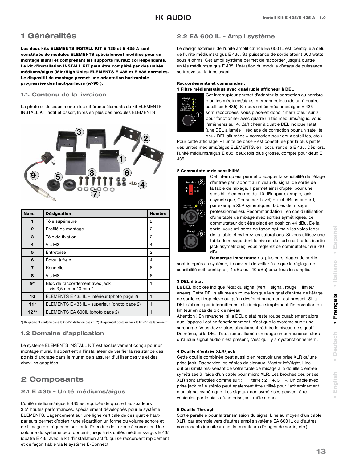### **1 Généralités**

**Les deux kits ELEMENTS INSTALL KIT E 435 et E 435 A sont constitués de modules ELEMENTS spécialement modifiés pour un montage mural et comprenant les supports muraux correspondants. Le kit d'installation INSTALL KIT peut être complété par des unités médiums/aigus (Mid/High Units) ELEMENTS E 435 et E 835 normales. Le dispositif de montage permet une orientation horizontale progressive des haut-parleurs (+/-90°).** 

#### **1.1. Contenu de la livraison**

La photo ci-dessous montre les différents éléments du kit ELEMENTS INSTALL KIT actif et passif, livrés en plus des modules ELEMENTS :



| Num.                    | <b>Désignation</b>                                           | <b>Nombre</b> |
|-------------------------|--------------------------------------------------------------|---------------|
| 1                       | Tôle supérieure                                              | 2             |
| $\mathbf{2}$            | Profilé de montage                                           | 2             |
| 3                       | Tôle de fixation                                             | 2             |
| 4                       | Vis M3                                                       | 4             |
| 5                       | Entretoise                                                   | 2             |
| 6                       | Écrou à frein                                                | 4             |
| $\overline{\mathbf{z}}$ | Rondelle                                                     | 6             |
| 8                       | Vis M8                                                       | 6             |
| $9*$                    | Bloc de raccordement avec jack<br>$+$ vis 3,5 mm x 13 mm $*$ |               |
| 10                      | ELEMENTS E 435 IL – inférieur (photo page 2)                 |               |
| $11*$                   | ELEMENTS E 435 IL - supérieur (photo page 2)                 | 1             |
| $12**$                  | ELEMENTS EA 600IL (photo page 2)                             |               |

\*) Uniquement contenu dans le kit d'installation passif \*\*) Uniquement contenu dans le kit d'installation actif

#### **1.2 Domaine d'application**

Le système ELEMENTS INSTALL KIT est exclusivement conçu pour un montage mural. Il appartient à l'installateur de vérifier la résistance des points d'ancrage dans le mur et de s'assurer d'utiliser des vis et des chevilles adaptées.

### **2 Composants**

#### **2.1 E 435 – Unité médiums/aigus**

L'unité médiums/aigus E 435 est équipée de quatre haut-parleurs 3,5" hautes performances, spécialement développés pour le système ELEMENTS. L'agencement sur une ligne verticale de ces quatre hautparleurs permet d'obtenir une répartition uniforme du volume sonore et de l'image de fréquence sur toute l'étendue de la zone à sonoriser. Une colonne du système peut contenir jusqu'à six unités médiums/aigus E 435 (quatre E 435 avec le kit d'installation actif), qui se raccordent rapidement et de façon fiable via le système E-Connect.

#### **2.2 EA 600 IL – Ampli système**

Le design extérieur de l'unité amplificatrice EA 600 IL est identique à celui de l'unité médiums/aigus E 435. Sa puissance de sortie atteint 600 watts sous 4 ohms. Cet ampli système permet de raccorder jusqu'à quatre unités médiums/aigus E 435. L'aération du module d'étage de puissance se trouve sur la face avant.

#### **Raccordements et commandes : 1 Filtre médiums/aigus avec quadruple afficheur à DEL**



Cet interrupteur permet d'adapter la correction au nombre d'unités médiums/aigus interconnectées (de un à quatre satellites E 435). Si deux unités médiums/aigus E 435 sont raccordées, vous placerez donc l'interrupteur sur 2 ; pour fonctionner avec quatre unités médiums/aigus, vous l'amènerez sur 4. L'afficheur à quatre DEL indique l'état (une DEL allumée = réglage de correction pour un satellite, deux DEL allumées = correction pour deux satellites, etc.).

Pour cette affichage, « l'unité de base » est constituée par la plus petite des unités médiums/aigus ELEMENTS, en l'occurrence la E 435. Dès lors, l'unité médiums/aigus E 835, deux fois plus grosse, compte pour deux E 435.

#### **2 Commutateur de sensibilité**



Cet interrupteur permet d'adapter la sensibilité de l'étage d'entrée par rapport au niveau du signal de sortie de la table de mixage. Il permet ainsi d'opter pour une sensibilité en entrée de -10 dBu (par exemple, jack asymétrique, Consumer-Level) ou +4 dBu (standard, par exemple XLR symétriques, tables de mixage professionnelles). Recommandation : en cas d'utilisation d'une table de mixage avec sorties symétriques, ce commutateur doit être placé en position +4 dBu. De la sorte, vous utiliserez de façon optimale les voies fader de la table et éviterez les saturations. Si vous utilisez une table de mixage dont le niveau de sortie est réduit (sortie jack asymétrique), vous réglerez ce commutateur sur -10 dBu.

**Remarque importante :** si plusieurs étages de sortie

sont intégrés au système, il convient de veiller à ce que le réglage de sensibilité soit identique (+4 dBu ou -10 dBu) pour tous les amplis.

#### **3 DEL d'état**

La DEL bicolore indique l'état du signal (vert = signal, rouge = limite/ erreur). Cette DEL s'allume en rouge lorsque le signal d'entrée de l'étage de sortie est trop élevé ou qu'un dysfonctionnement est présent. Si la DEL s'allume par intermittence, elle indique simplement l'intervention du limiteur en cas de pic de niveau.

Attention ! En revanche, si la DEL d'état reste rouge durablement alors que l'appareil est en fonctionnement, c'est que le système subit une surcharge. Vous devez alors absolument réduire le niveau de signal ! De même, si la DEL d'état reste allumée en rouge en permanence alors qu'aucun signal audio n'est présent, c'est qu'il y a dysfonctionnement.

#### **4 Douille d'entrée XLR/jack**

Cette douille combinée peut aussi bien recevoir une prise XLR qu'une prise jack. Raccordez les câbles de signaux (Master left/right, Line out ou similaires) venant de votre table de mixage à la douille d'entrée symétrisée à l'aide d'un câble pour micro XLR. Les broches des prises XLR sont affectées comme suit :  $1 =$  terre ;  $2 = +$ ,  $3 = -$ . Un câble avec prise jack mâle stéréo peut également être utilisé pour l'acheminement d'un signal symétrique. Les signaux non symétrisés peuvent être véhiculés par le biais d'une prise jack mâle mono.

#### **5 Douille Through**

Sortie parallèle pour la transmission du signal Line au moyen d'un câble XLR, par exemple vers d'autres amplis système EA 600 IL ou d'autres composants (moniteurs actifs, moniteurs d'étages de sortie, etc.).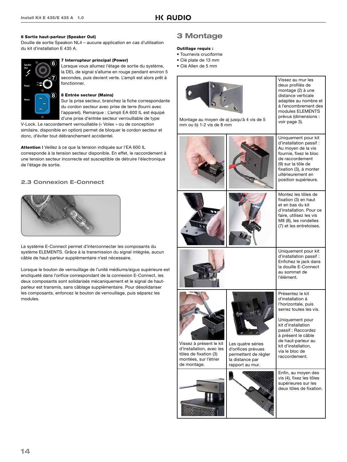#### **6 Sortie haut-parleur (Speaker Out)**

Douille de sortie Speakon NL4 – aucune application en cas d'utilisation du kit d'installation E 435 A.



#### **7 Interrupteur principal (Power)**

Lorsque vous allumez l'étage de sortie du système, la DEL de signal s'allume en rouge pendant environ 5 secondes, puis devient verte. L'ampli est alors prêt à fonctionner.

#### **8 Entrée secteur (Mains)**

Sur la prise secteur, branchez la fiche correspondante du cordon secteur avec prise de terre (fourni avec l'appareil). Remarque : L'ampli EA 600 IL est équipé d'une prise d'entrée secteur verrouillable de type

V-Lock. Le raccordement verrouillable (« Volex » ou de conception similaire, disponible en option) permet de bloquer le cordon secteur et donc, d'éviter tout débranchement accidentel.

**Attention !** Veillez à ce que la tension indiquée sur l'EA 600 IL corresponde à la tension secteur disponible. En effet, le raccordement à une tension secteur incorrecte est susceptible de détruire l'électronique de l'étage de sortie.

#### **2.3 Connexion E-Connect**



Le système E-Connect permet d'interconnecter les composants du système ELEMENTS. Grâce à la transmission du signal intégrée, aucun câble de haut-parleur supplémentaire n'est nécessaire.

Lorsque le bouton de verrouillage de l'unité médiums/aigus supérieure est encliqueté dans l'orifice correspondant de la connexion E-Connect, les deux composants sont solidarisés mécaniquement et le signal de hautparleur est transmis, sans câblage supplémentaire. Pour désolidariser les composants, enfoncez le bouton de verrouillage, puis séparez les modules.

### **3 Montage**

#### **Outillage requis :**

- Tournevis cruciforme
- Clé plate de 13 mm
- Clé Allen de 5 mm

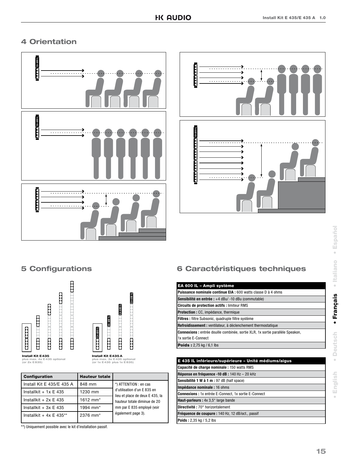### **4 Orientation**





### **5 Configurations**



**plus max. 3x E 435 optional (or 1x E 435 plus 1x E 835)**

| <b>Configuration</b>        | <b>Hauteur totale</b> |                                                                |
|-----------------------------|-----------------------|----------------------------------------------------------------|
| Install Kit E 435/E 435 A   | 848 mm                | *) ATTENTION : en cas                                          |
| Installkit + $1x \nE 435$   | 1230 mm               | d'utilisation d'un E 835 en<br>lieu et place de deux E 435, la |
| Installkit + $2x \nE 435$   | 1612 mm <sup>*</sup>  | hauteur totale diminue de 20                                   |
| Installkit + $3x \nE 435$   | 1994 mm <sup>*</sup>  | mm par E 835 employé (voir                                     |
| Installkit + $4x \nE 435**$ | 2376 mm <sup>*</sup>  | également page 3).                                             |

\*\*) Uniquement possible avec le kit d'installation passif.

### **6 Caractéristiques techniques**

| EA 600 IL - Ampli système                                                             |
|---------------------------------------------------------------------------------------|
| <b>Puissance nominale continue EIA: 600 watts classe D à 4 ohms</b>                   |
| <b>Sensibilité en entrée :</b> +4 dBu/ -10 dBu (commutable)                           |
| <b>Circuits de protection actifs: limiteur RMS</b>                                    |
| <b>Protection:</b> CC, impédance, thermique                                           |
| <b>Filtres</b> : filtre Subsonic, quadruple filtre système                            |
| Refroidissement : ventilateur, à déclenchement thermostatique                         |
| <b>Connexions :</b> entrée douille combinée, sortie XLR, 1x sortie parallèle Speakon, |
| 1x sortie E-Connect                                                                   |
| <b>Poids:</b> $2,75$ kg / 6,1 lbs                                                     |
|                                                                                       |

 $\ddot{\phantom{a}}$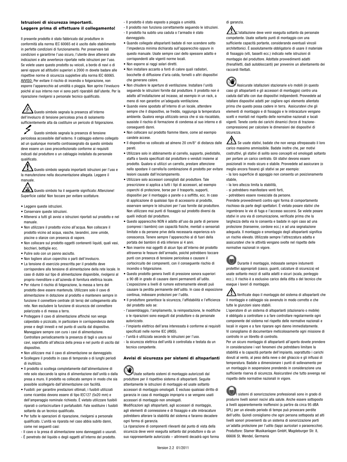#### **Istruzioni di sicurezza importanti. Leggere prima di effettuare il collegamento!**

Il presente prodotto è stato fabbricato dal produttore in conformità alla norma IEC 60065 ed è uscito dallo stabilimento in perfette condizioni di funzionamento. Per preservare tali condizioni e garantirne l'uso sicuro, l'utente deve attenersi alle indicazioni e alle avvertenze riportate nelle istruzioni per l'uso. Se volete usare questo prodotto su veicoli, a bordo di navi o di aerei oppure ad altitudini superiori a 2000 m dovete badare alle rispettive norme di sicurezza suppletive alla norma IEC 60065. AVVISO: Per evitare il rischio di incendio o folgorazione, non esporre l'apparecchio ad umidità o pioggia. Non aprire l'involucro poiché al suo interno non vi sono parti riparabili dall'utente. Per la riparazione rivolgersi a personale tecnico qualificato.

Questo simbolo segnala la presenza all'interno dell'involucro di tensione pericolosa priva di isolamento sufficientemente alta da costituire un pericolo di folgorazione.

Questo simbolo segnala la presenza di tensione pericolosa accessibile dall'esterno. Il cablaggio esterno collegato ad un qualunque morsetto contrassegnato da questo simbolo deve essere un cavo preconfezionato conforme ai requisiti indicati dal produttore o un cablaggio installato da personale qualificato.

Questo simbolo segnala importanti istruzioni per l'uso e la manutenzione nella documentazione allegata. Leggere il manuale.

 $\boldsymbol{\Delta}$  Questo simbolo ha il seguente significato: Attenzione! Superficie calda! Non toccare per evitare scottature.

- Leggere queste istruzioni.
- Conservare queste istruzioni.
- Attenersi a tutti gli avvisi e istruzioni riportati sul prodotto e nel manuale.
- Non utilizzare il prodotto vicino all'acqua. Non collocare il prodotto vicino ad acqua, vasche, lavandini, zone umide, piscine o stanze con presenza di vapore.
- Non collocare sul prodotto oggetti contenenti liquidi, quali vasi, bicchieri, bottiglie ecc.
- Pulire solo con un panno asciutto.
- Non togliere alcun coperchio o parti dell'involucro.
- La tensione di esercizio prescritta per il prodotto deve corrispondere alla tensione di alimentazione della rete locale. In caso di dubbi sul tipo di alimentazione disponibile, rivolgersi al proprio rivenditore o all'azienda di fornitura elettrica locale.
- Per ridurre il rischio di folgorazione, la messa a terra del prodotto deve essere mantenuta. Utilizzare solo il cavo di alimentazione in dotazione al prodotto e mantenere sempre in funzione il connettore centrale (di terra) del collegamento alla rete. Non escludere la funzione di sicurezza del connettore polarizzato o di messa a terra.
- Proteggere il cavo di alimentazione affinché non venga calpestato o pizzicato, in particolare in corrispondenza delle prese e degli innesti e nel punto di uscita dal dispositivo. Maneggiare sempre con cura i cavi di alimentazione. Controllare periodicamente la presenza di tagli o usura sui cavi, soprattutto all'altezza della presa e nel punto di uscita dal dispositivo.
- Non utilizzare mai il cavo di alimentazione se danneggiato.
- Scollegare il prodotto in caso di temporale o di lunghi periodi di inutilizzo.
- Il prodotto si scollega completamente dall'alimentazione di rete solo staccando la spina di alimentazione dall'unità o dalla presa a muro. Il prodotto va collocato sempre in modo che sia possibile scollegarlo dall'alimentazione con facilità.
- Fusibili: per garantire prestazioni ottimali, i fusibili utilizzati come ricambio devono essere di tipo IEC127 (5x20 mm) e dell'amperaggio nominale richiesto. È vietato utilizzare fusibili riparati o cortocircuitare il portafusibili. Fate sostituire i fusibili soltanto da un tecnico qualificato.
- Per tutte le operazioni di riparazione, rivolgersi a personale qualificato. L'unità va riparata nel caso abbia subito danni, come nei seguenti casi:
- Il cavo o la presa di alimentazione sono danneggiati o usurati.
- È penetrato del liquido o degli oggetti all'interno del prodotto.
- Il prodotto è stato esposto a pioggia o umidità.
- Il prodotto non funziona correttamente seguendo le istruzioni. - Il prodotto ha subito una caduta o l'armadio è stato danneggiato
- Quando collegate altoparlanti badate di non scendere sotto l'impedenza minima dichiarata sull'apparecchio oppure in questo manuale. Usate sempre cavi dello spessore adatto e corrispondenti alle vigenti norme locali.
- Non esporre ai raggi solari diretti.
- Non installare accanto a fonti di calore quali radiatori, bocchette di diffusione d'aria calda, fornelli o altri dispositivi che generano calore.
- Non chiudere le aperture di ventilazione. Installare l'unità seguendo le istruzioni fornite dal produttore. Il prodotto non è adatto all'installazione ad incasso, ad esempio in un rack, a meno di non garantire un'adeguata ventilazione.
- Quando viene spostato all'interno di un locale, attendere sempre che il dispositivo, se freddo, raggiunga la temperatura ambiente. Qualora venga utilizzato senza che si sia riscaldato, sussiste il rischio di formazione di condensa al suo interno e di conseguenti danni.
- Non collocare sul prodotto fiamme libere, come ad esempio candele accese.
- Il dispositivo va collocato ad almeno 20 cm/8" di distanza dalle pareti.
- Utilizzare solo in abbinamento al carrello, supporto, piedistallo, staffa o tavola specificati dal produttore o venduti insieme al prodotto. Qualora si utilizzi un carrello, prestare attenzione nello spostare il carrello/la combinazione di prodotto per evitare lesioni causate dall'inciampamento.
- Utilizzare solo accessori consigliati dal produttore. Tale prescrizione si applica a tutti i tipi di accessori, ad esempio coperchi di protezione, borse per il trasporto, supporti, dispositivi per il montaggio a parete o a soffitto, ecc. In caso di applicazione di qualsiasi tipo di accessorio al prodotto, osservare sempre le istruzioni per l'uso fornite dal produttore. Non utilizzare mai punti di fissaggio sul prodotto diversi da quelli indicati dal produttore.
- Questo apparecchio NON è adatto all'uso da parte di persone (compresi i bambini) con capacità fisiche, mentali o sensoriali limitate o da persone prive della necessaria esperienza e/o conoscenza. Tenere sempre l'apparecchio al di fuori della portata dei bambini di età inferiore ai 4 anni.
- Non inserire mai oggetti di alcun tipo all'interno del prodotto attraverso le fessure dell'armadio, poiché potrebbero toccare punti con presenza di tensione pericolosa o causare il cortocircuito dei componenti, con il conseguente rischio di incendio o folgorazione.
- Questo prodotto genera livelli di pressione sonora superiori a 90 dB in grado di causare danni permanenti all'udito. L'esposizione a livelli di rumore estremamente elevati può causare la perdita permanente dell'udito. In caso di esposizione continua, indossare protezioni per l'udito.
- Il produttore garantisce la sicurezza, l'affidabilità e l'efficienza del prodotto solo se:
- l'assemblaggio, l'ampliamento, la reimpostazione, le modifiche o le riparazioni sono eseguiti dal produttore o da personale autorizzato.
- l'impianto elettrico dell'area interessata è conforme ai requisiti specificati nelle norme IEC (ANSI).
- l'unità è utilizzata secondo le istruzioni per l'uso.
- la sicurezza elettrica dell'unità è controllata e testata da un tecnico competente.

#### **Avvisi di sicurezza per sistemi di altoparlanti**

Usate soltanto sistemi di montaggio autorizzati dal produttore per il rispettivo sistema di altoparlanti. Seguite attentamente le istruzioni di montaggio ed usate soltanto accessori di montaggio omologati. È escluso qualsiasi diritto di garanzia in caso di montaggio improprio o se vengono usati accessori di montaggio non omologati.

Modificazioni agli altoparlanti, agli accessori di montaggio, agli elementi di connessione e di fissaggio e alle imbracature potrebbero alterare la stabilità del sistema e faranno decadere ogni forma di garanzia.

La riparazione di componenti rilevanti dal punto di vista della sicurezza deve venir eseguita soltanto dal produttore o da un suo rappresentante autorizzato – altrimenti decadrà ogni forma

#### di garanzia.

 $\sum_{\text{L}'}$ istallazione deve venir eseguita soltanto da personale competente. Usate soltanto punti di montaggio con una sufficiente capacità portante, considerando eventuali vincoli architettonici. È assolutamente obbligatorio di usare il materiale di fissaggio (viti, tasselli ecc.) indicato nelle istruzioni di montaggio del produttore. Adottate provvedimenti adatti (frenafiletti, dadi autobloccanti) per prevenire un allentamento dei raccordi filettati.

 $\infty$ Assicurate istallazioni stazionarie e/o mobili (in questo caso gli altoparlanti e gli accessori di montaggio) contro una caduta dall'alto con due dispositivi indipendenti. Provvedete ad istallare dispositivi adatti per cogliere ogni elemento allentato prima che questo possa cadere in terra. Assicuratevi che gli elementi di montaggio e di fissaggio e le imbracature vengano scelti e montati nel rispetto delle normative nazionali e locali vigenti. Tenete conto dei carichi dinamici (forze di trazionecompressione) per calcolare le dimensioni dei dispositivi di sicurezza.

 $\sum$  Se usate stativi, badate che non venga oltrepassato il loro carico massimo ammissibile. Badate inoltre che, per motivi costruttivi, gli stativi di solito sono concepiti ed omologati soltanto per portare un carico centrato. Gli stativi devono essere posizionati in modo sicuro e stabile. Provvedete ad assicurare (o meglio ancora fissare) gli stativi se per esempio: - la loro superficie di appoggio non consenta un posizionamento

stabile,

- la loro altezza limita la stabilità,
- si potrebbero manifestare venti forti
- potrebbero essere rovesciate da persone.

Prendete provvedimenti contro ogni forma di comportamento rischioso da parte degli spettatori. È vietato posare stativi che ingombrano le vie di fuga e l'accesso soccorsi. Se volete posare stativi in una via di comunicazione, verificate prima che la larghezza della via lo consenta e badate in ogni caso ad una protezione (transenne, cordone ecc.) e ad una segnalazione adeguata. Il montaggio e smontaggio degli altoparlanti significa un rischio elevato. Utilizzate sempre l'attrezzatura adatta e assicuratevi che le attività vengano svolte nel rispetto delle normative nazionali in vigore.

Durante il montaggio, indossate sempre indumenti protettivi appropriati (casco, guanti, calzature di sicurezza) ed usate soltanto mezzi di salita adatti e sicuri (scala, ponteggio ecc.). Il rischio è a esclusivo carico della ditta o del tecnico che esegue i lavori di montaggio.

 Verificate dopo il montaggio del sistema di altoparlanti che il montaggio e cablaggio sia avvenuto in modo corretto e che tutte le giunzioni siano stabili.

L'operatore di un sistema di altoparlanti (stazionario o mobile) è obbligato a controllare o a fare controllare regolarmente ogni componente del sistema nel rispetto delle normative nazionali e locali in vigore e a fare riparare ogni danno immediatamente. Vi consigliamo di documentare meticolosamente ogni missione di controllo in un libretto di controllo.

Per un sicuro montaggio di altoparlanti all'aperto dovete prendere in considerazione i vari fenomeni che potrebbero limitare la stabilità e la capacità portante dell'impianto, soprattutto i carichi dovuti al vento, al peso della neve o del ghiaccio e gli influssi di temperatura. Badate a dimensionare i punti di sollevamento per un montaggio in sospensione prendendo in considerazione una sufficiente riserva di sicurezza. Assicuratevi che tutto avvenga nel rispetto delle normative nazionali in vigore.

I sistemi di sonorizzazione professionali sono in grado di produrre livelli sonori nocivi alla salute. Anche essere sottoposto a livelli apparentemente inoffensivi (a partire da circa 95 dBA SPL) per un elevato periodo di tempo può provocare perdite dell'udito. Quindi consigliamo che ogni persona sottoposta ad alti livelli sonori provenienti da un sistema di sonorizzazione porti un'adatta protezione per l'udito (tappi auricolari o paraorecchie). Produttore: Stamer Musikanlagen GmbH, Magdeburger Str. 8, 66606 St. Wendel, Germania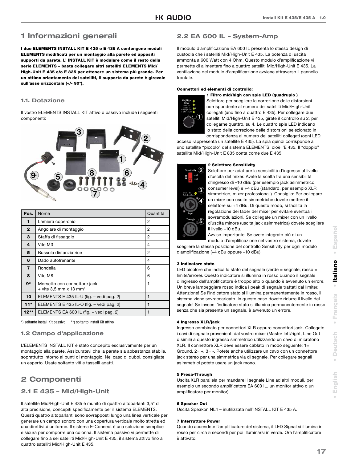### **1 Informazioni generali**

**I due ELEMENTS INSTALL KIT E 435 e E 435 A contengono moduli ELEMENTS modificati per un montaggio alla parete ed appositi supporti da parete. L' INSTALL KIT è modulare come il resto della serie ELEMENTS – basta collegare altri satelliti ELEMENTS Mid/ High-Unit E 435 e/o E 835 per ottenere un sistema più grande. Per un ottimo orientamento dei satelliti, il supporto da parete è girevole sull'asse orizzontale (+/- 90°).** 

#### **1.1. Dotazione**

Il vostro ELEMENTS INSTALL KIT attivo o passivo include i seguenti componenti:



| $\Gamma$ Pos. | Nome                                                   | Quantità |
|---------------|--------------------------------------------------------|----------|
|               | Lamiera coperchio                                      | 2        |
| $\mathbf{2}$  | Angolare di montaggio                                  | 2        |
| З             | Staffa di fissaggio                                    | 2        |
| 4             | Vite M3                                                | 4        |
| 5             | Bussola distanziatrice                                 | 2        |
| 6             | Dado autofrenante                                      | 4        |
| 7             | Rondella                                               | 6        |
| 8             | Vite M8                                                | 6        |
| 9*            | Morsetto con connettore jack<br>+ vite 3,5 mm x 13 mm* | 1        |
| 10            | ELEMENTS E 435 IL-U (fig. - vedi pag. 2)               | 1        |
| $11*$         | ELEMENTS E 435 IL-O (fig. - vedi pag. 2)               | 1        |
| $12**$        | ELEMENTS EA 600 IL (fig. - vedi pag. 2)                |          |

\*) soltanto Install Kit passivo \*\*) soltanto Install Kit attivo

#### **1.2 Campo d'applicazione**

L'ELEMENTS INSTALL KIT è stato concepito esclusivamente per un montaggio alla parete. Assicuratevi che la parete sia abbastanza stabile, soprattutto intorno ai punti di montaggio. Nel caso di dubbi, consigliate un esperto. Usate soltanto viti e tasselli adatti.

### **2 Componenti**

#### **2.1 E 435 – Mid/High-Unit**

Il satellite Mid/High-Unit E 435 è munito di quattro altoparlanti 3,5" di alta precisione, concepiti specificamente per il sistema ELEMENTS. Questi quattro altoparlanti sono sovrapposti lungo una linea verticale per generare un campo sonoro con una copertura verticale molto stretta ed una direttività uniforme. Il sistema E-Connect è una soluzione semplice e sicura per comporre una colonna. Il sistema passivo vi permette di collegare fino a sei satelliti Mid/High-Unit E 435, il sistema attivo fino a quattro satelliti Mid/High-Unit E 435.

#### **2.2 EA 600 IL – System-Amp**

Il modulo d'amplificazione EA 600 IL presenta lo stesso design di custodia che i satelliti Mid/High-Unit E 435. La potenza di uscita ammonta a 600 Watt con 4 Ohm. Questo modulo d'amplificazione vi permette di alimentare fino a quattro satelliti Mid/High-Unit E 435. La ventilazione del modulo d'amplificazione avviene attraverso il pannello frontale.

#### **Connettori ed elementi di controllo:**



**1 Filtro mid/high con spie LED (quadruplo )** Selettore per scegliere la correzione delle distorsioni corrispondente al numero dei satelliti Mid/High-Unit collegati (uno fino a quattro E 435). Per collegare due satelliti Mid/High-Unit E 435, girate il controllo su 2, per collegarne quattro, su 4. Le quattro spie LED indicano lo stato della correzione delle distorsioni selezionato in corrispondenza al numero dei satelliti collegati (ogni LED

acceso rappresenta un satellite E 435). La spia quindi corrisponde a uno satellite "piccolo" del sistema ELEMENTS, cioè l'E 435. Il "doppio" satellite Mid/High-Unit E 835 conta come due E 435.

#### **2 Selettore Sensitivity**



Selettore per adattare la sensibilità d'ingresso al livello d'uscita del mixer. Avete la scelta fra una sensibilità d'ingresso di –10 dBu (per esempio jack asimmetrico, consumer level) e +4 dBu (standard, per esempio XLR simmetrico, mixer professionali). Consiglio: Per collegare un mixer con uscite simmetriche dovete mettere il selettore su +4 dBu. Di questo modo, si facilita la regolazione dei fader del mixer per evitare eventuali sovramodulazioni. Se collegate un mixer con un livello d'uscita minore (uscita jack asimmetrica) dovete scegliere il livello –10 dBu.

Avviso importante: Se avete integrato più di un modulo d'amplificazione nel vostro sistema, dovete

scegliere la stessa posizione del controllo Sensitivity per ogni modulo d'amplificazione (+4 dBu oppure -10 dBu).

#### **3 Indicatore stato**

LED bicolore che indica lo stato del segnale (verde = segnale, rosso = limite/errore). Questo indicatore si illumina in rosso quando il segnale d'ingresso dell'amplificatore è troppo alto o quando è avvenuto un errore. Un breve lampeggiare rosso indica i peak di segnale trattati dal limiter. Attenzione! Se l'indicatore stato si illumina permanentemente in rosso, il sistema viene sovraccaricato. In questo caso dovete ridurre il livello del segnale! Se invece l'indicatore stato si illumina permanentemente in rosso senza che sia presente un segnale, è avvenuto un errore.

#### **4 Ingresso XLR/jack**

Ingresso combinato per connettori XLR oppure connettori jack. Collegate i cavi di segnale provenienti dal vostro mixer (Master left/right, Line Out o simili) a questo ingresso simmetrico utilizzando un cavo di microfono XLR. Il connettore XLR deve essere cablato in modo seguente: 1= Ground, 2= +, 3= -. Potete anche utilizzare un cavo con un connettore jack stereo per una simmetrica via di segnale. Per collegare segnali asimmetrici potete usare un jack mono.

#### **5 Presa-Through**

Uscita XLR parallela per mandare il segnale Line ad altri moduli, per esempio un secondo amplificatore EA 600 IL, un monitor attivo o un amplificatore per monitor).

#### **6 Speaker Out**

Uscita Speakon NL4 – inutilizzata nell'INSTALL KIT E 435 A.

#### **7 Interruttore Power**

Quando accendete l'amplificatore del sistema, il LED Signal si illumina in rosso per circa 5 secondi per poi illuminarsi in verde. Ora l'amplificatore è attivato.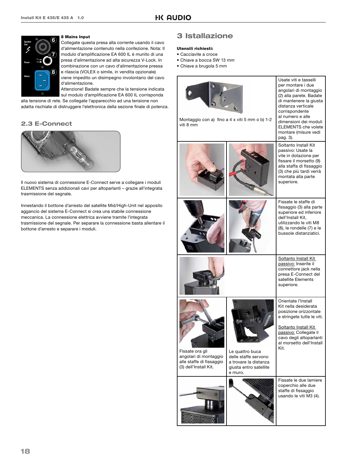

#### **8 Mains Input**

Collegate questa presa alla corrente usando il cavo d'alimentazione contenuto nella confezione. Nota: Il modulo d'amplificazione EA 600 IL è munito di una presa d'alimentazione ad alta sicurezza V-Lock. In combinazione con un cavo d'alimentazione pressa e rilascia (VOLEX o simile, in vendita opzionale) viene impedito un disimpegno involontario del cavo d'alimentazione.

Attenzione! Badate sempre che la tensione indicata sul modulo d'amplificazione EA 600 IL corrisponda

alla tensione di rete. Se collegate l'apparecchio ad una tensione non adatta rischiate di distruggere l'elettronica della sezione finale di potenza.

#### **2.3 E-Connect**



Il nuovo sistema di connessione E-Connect serve a collegare i moduli ELEMENTS senza addizionali cavi per altoparlanti – grazie all'integrata trasmissione del segnale.

Innestando il bottone d'arresto del satellite Mid/High-Unit nel apposito aggancio del sistema E-Connect si crea una stabile connessione meccanica. La connessione elettrica avviene tramite l'integrata trasmissione del segnale. Per separare la connessione basta allentare il bottone d'arresto e separare i moduli.

### **3 Istallazione**

#### **Utensili richiesti:**

- Cacciavite a croce
- Chiave a bocca SW 13 mm
- Chiave a brugola 5 mm

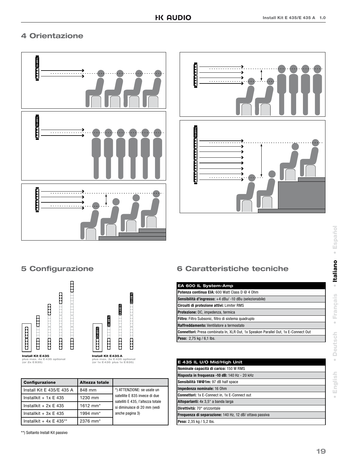### **4 Orientazione**





### **5 Configurazione**



| <b>Configurazione</b>       | Altezza totale       |                                                                    |  |
|-----------------------------|----------------------|--------------------------------------------------------------------|--|
| Install Kit E 435/E 435 A   | 848 mm               | *) ATTENZIONE: se usate un                                         |  |
| Installkit + $1x \nE 435$   | 1230 mm              | satellite E 835 invece di due<br>satelliti E 435, l'altezza totale |  |
| Installkit + $2x \nE 435$   | 1612 mm <sup>*</sup> | si diminuisce di 20 mm (vedi                                       |  |
| Installkit + $3x \nE 435$   | 1994 mm <sup>*</sup> | anche pagina 3)                                                    |  |
| Installkit + $4x \nE 435**$ | 2376 mm <sup>*</sup> |                                                                    |  |

#### \*\*) Soltanto Install Kit passivo

### **6 Caratteristiche tecniche**

| EA 600 IL System-Amp                                                               |
|------------------------------------------------------------------------------------|
| <b>IPotenza continua EIA:</b> 600 Watt Class D @ 4 0hm                             |
| Sensibilità d'ingresso: +4 dBu/-10 dBu (selezionabile)                             |
| Circuiti di protezione attivi: Limiter RMS                                         |
| Protezione: DC, impedenza, termica                                                 |
| Filtro: Filtro Subsonic, filtro di sistema quadruplo                               |
| Raffreddamento: Ventilatore a termostato                                           |
| Connettori: Presa combinata In, XLR Out, 1x Speakon Parallel Out, 1x E-Connect Out |
| Peso: 2,75 kg / 6,1 lbs.                                                           |

| E 435 IL U/O Mid/High Unit                                     |
|----------------------------------------------------------------|
| Nominale capacità di carico: 150 W RMS                         |
| Risposta in frequenza -10 dB: 140 Hz - 20 kHz                  |
| Sensibilità 1W@1m: 97 dB half space                            |
| Impedenza nominale: 16 Ohm                                     |
| <b>Connettori:</b> 1x E-Connect in, 1x E-Connect out           |
| Altoparlanti: 4x 3,5" a banda larga                            |
| Direttività: 70° orizzontale                                   |
| <b>Frequenza di separazione: 140 Hz, 12 dB/ ottava passiva</b> |
| Peso: 2,35 kg / 5,2 lbs.                                       |

 $\ddot{\phantom{a}}$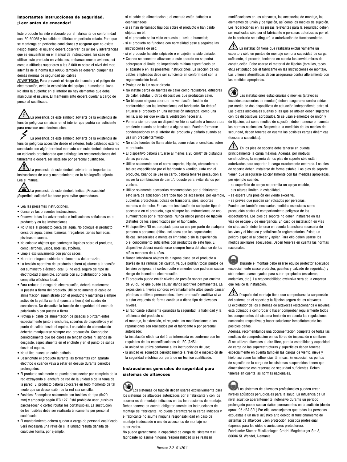#### **Importantes instrucciones de seguridad. ¡Leer antes de encender!**

Este producto ha sido elaborado por el fabricante de conformidad con IEC 60065 y ha salido de fábrica en perfecto estado. Para que se mantenga en perfectas condiciones y asegurar que no exista riesgo alguno, el usuario deberá observar los avisos y advertencias que se encuentran en el manual de instrucciones. En caso de utilizar este producto en vehículos, embarcaciones o aviones, así como a altitudes superiores a los 2.000 m sobre el nivel del mar, además de la norma IEC 60065 también se deberán cumplir las demás normas de seguridad aplicables

ADVERTENCIA: Para prevenir el riesgo de incendio y el peligro de electrocución, evite la exposición del equipo a humedad o lluvia. No abra la cubierta: en el interior no hay elementos que deba manipular el usuario. El mantenimiento deberá quedar a cargo de personal cualificado.

La presencia de este símbolo advierte de la existencia de tensión peligrosa sin aislar en el interior que podría ser suficiente para provocar una electrocución.

La presencia de este símbolo advierte de la existencia de tensión peligrosa accesible desde el exterior. Todo cableado externo conectado con algún terminal marcado con este símbolo deberá ser un cableado preelaborado que satisfaga las recomendaciones del fabricante o deberá ser instalado por personal cualificado.

La presencia de este símbolo advierte de importantes instrucciones de uso y mantenimiento en la bibliografía adjunta. Lea el manual.

La presencia de este símbolo indica: ¡Precaución! ¡Superficie caliente! No tocar para evitar quemaduras.

- Lea las presentes instrucciones.
- Conserve las presentes instrucciones.
- Observe todas las advertencias e indicaciones señaladas en el producto y en las instrucciones.
- No utilice el producto cerca del agua. No coloque el producto cerca de agua, baños, bañeras, fregaderos, zonas húmedas, piscinas o saunas.
- No coloque objetos que contengan líquidos sobre el producto, como jarrones, vasos, botellas, etcétera.
- Limpie exclusivamente con paños secos.
- No retire ninguna cubierta ni elementos del armazón.
- La tensión operativa del producto deberá ajustarse a la tensión del suministro eléctrico local. Si no está seguro del tipo de electricidad disponible, consulte con su distribuidor o con la compañía eléctrica local.
- Para reducir el riesgo de electrocución, deberá mantenerse la puesta a tierra del producto. Utilice solamente el cable de alimentación suministrado con el producto y mantenga siempre activo de la patilla central (puesta a tierra) del cuadro de conexiones. No desactive la función de seguridad del enchufe polarizado o con puesta a tierra.
- Proteja el cable de alimentación de pisadas o pinzamientos, especialmente junto a enchufes, soportes de dispositivos y el punto de salida desde el equipo. Los cables de alimentación deberán manipularse siempre con precaución. Compruebe periódicamente que los cables no tengan cortes ni signos de desgaste, especialmente en el enchufe y en el punto de salida desde el equipo.
- No utilice nunca un cable dañado.
- Desenchufe el producto durante las tormentas con aparato eléctrico o cuando vaya a estar en desuso durante periodos prolongados.
- El producto solamente se puede desconectar por completo de la red extrayendo el enchufe de red de la unidad o de la toma de la pared. El producto deberá colocarse en todo momento de tal modo que su desconexión de la red sea sencilla.
- Fusibles: Reemplace solamente con fusibles de tipo (5x20 mm) y amperaje según IEC 127. Está prohibido usar "fusibles parcheados" o cortocircuitar los portafusibles. La sustitución de los fusibles debe ser realizada únicamente por personal cualificado.
- El mantenimiento deberá quedar a cargo de personal cualificado. Será necesaria una revisión si la unidad resulta dañada de cualquier forma, por ejemplo:
- si el cable de alimentación o el enchufe están dañados o deshilachados;
- si se han derramado líquidos sobre el producto o han caído objetos en él;
- si el producto se ha visto expuesto a lluvia o humedad;
- si el producto no funciona con normalidad pese a seguirse las instrucciones de uso;
- si el producto ha sido salpicado o el cajetín ha sido dañado.
- Cuando se conecten altavoces a este aparato no se podrá sobrepasar el límite de impedancia mínima especificado en el aparato o en las presentes instrucciones. La sección de los cables empleados debe ser suficiente en conformidad con la reglamentación local.
- Proteja de la luz solar directa.
- No instale cerca de fuentes de calor como radiadores, difusores de calor, estufas u otros dispositivos que produzcan calor.
- No bloquee ninguna abertura de ventilación. Instale de conformidad con las instrucciones del fabricante. No deberá situarse el producto en una instalación integrada, como una rejilla, a no ser que exista la ventilación necesaria.
- Permita siempre que un dispositivo frío se caliente a temperatura ambiente cuando se traslade a alguna sala. Pueden formarse condensaciones en el interior del producto y dañarlo cuando se usa sin precalentamiento.
- No sitúe fuentes de llama abierta, como velas encendidas, sobre el producto.
- El dispositivo deberá situarse al menos a 20 cm/8" de distancia de las paredes.
- Utilice solamente con el carro, soporte, trípode, abrazadera o tablero especificado por el fabricante o vendido junto con el producto. Cuando se use un carro, deberá tenerse precaución al mover la combinación de carro/producto para evitar daños por vuelcos.
- Utilice solamente accesorios recomendados por el fabricante; esto será de aplicación para todo tipo de accesorios, por ejemplo, cubiertas protectoras, bolsas de transporte, pies, soportes murales o de techo. En caso de instalación de cualquier tipo de accesorio en el producto, siga siempre las instrucciones de uso suministradas por el fabricante. Nunca utilice puntos de fijación distintos de los especificados por el fabricante.
- El dispositivo NO es apropiado para su uso por parte de cualquier persona o personas (niños incluidos) con las capacidades físicas, sensoriales o mentales limitadas o sin la experiencia o el conocimiento suficientes con productos de este tipo. El dispositivo deberá mantenerse siempre fuera del alcance de los niños menores de 4 años.
- Nunca introduzca objetos de ninguna clase en el producto a través de las ranuras del cajetín, ya que podrían tocar puntos de tensión peligrosa, ni cortocircuite elementos que pudieran causar riesgo de incendio o electrocución.
- El producto puede emitir niveles de presión sonora por encima de 90 dB, lo que puede causar daños auditivos permanentes. La exposición a niveles sonoros extremadamente altos puede causar pérdidas auditivas permanentes. Lleve protección auditiva si va a estar expuesto de forma continua a dicho tipo de elevados niveles.
- El fabricante solamente garantiza la seguridad, la fiabilidad y la eficiencia del producto si:
- el montaje, la extensión, el reajuste, las modificaciones o las reparaciones son realizados por el fabricante o por personal autorizado;
- la instalación eléctrica del área interesada es conforme con los requisitos de las especificaciones de IEC (ANSI);
- la unidad se utiliza conforme a las instrucciones de uso;
- la unidad es sometida periódicamente a revisión e inspección de la seguridad eléctrica por parte de un técnico cualificado.

#### **Instrucciones generales de seguridad para sistemas de altavoces**

Los sistemas de fijación deben usarse exclusivamente para los sistemas de altavoces autorizados por el fabricante y con los accesorios de montaje indicados en las Instrucciones de montaje. Deben tenerse en cuenta obligatoriamente las Instrucciones de montaje del fabricante. No puede garantizarse la carga indicada y el fabricante no asume ninguna responsabilidad en caso de montaje inadecuado o uso de accesorios de montaje no autorizados.

No puede garantizarse la capacidad de carga del sistema y el fabricante no asume ninguna responsabilidad si se realizan

modificaciones en los altavoces, los accesorios de montaje, los elementos de unión y de fijación, así como los medios de sujeción. Los reparaciones en las piezas relevantes para la seguridad deben ser realizadas sólo por el fabricante o personas autorizadas por él, de lo contrario se extinguirá la autorización de funcionamiento.

La instalación tiene que realizarla exclusivamente un experto y sólo en puntos de montaje con una capacidad de carga suficiente, si procede, teniendo en cuenta las servidumbres de construcción. Debe usarse el material de fijación (tornillos, tacos, etc.) estipulado por el fabricante en las Instrucciones de montaje. Las uniones atornilladas deben asegurarse contra aflojamiento con las medidas apropiadas.

 $(\mathbb{V})$ Las instalaciones estacionarias o móviles (altavoces incluidos accesorios de montaje) deben asegurarse contra caídas por medio de dos dispositivos de actuación independiente entre sí. Las piezas adicionales sueltas o las que se aflojen deben sujetarse con los dispositivos apropiados. Si se usan elementos de unión y de fijación, así como medios de sujeción, deben tenerse en cuenta las normas nacionales. Respecto a la medición de los medios de seguridad, deben tenerse en cuenta las posibles cargas dinámicas (fuerzas a sacudidas).

 $\angle$  En los pies de soporte debe tenerse en cuenta principalmente la carga máxima. Además, por motivos constructivos, la mayoría de los pies de soporte sólo están autorizados para soportar la carga exactamente centrada. Los pies de soporte deben instalarse de forma estable. Los pies de soporte tienen que asegurarse adicionalmente con las medidas apropiadas, por ejemplo cuando:

- su superficie de apoyo no permita un apoyo estable,
- sus alturas limiten la estabilidad,
- se espere una presión del viento excesiva,

- se prevea que puedan ser volcados por personas. Pueden ser también necesarias medidas especiales como precaución contra el comportamiento peligroso de los espectadores. Los pies de soporte no deben instalarse en las vías de escape y de emergencia. En caso de instalación en vías de circulación debe tenerse en cuenta la anchura necesaria de las vías y el bloqueo y señalización reglamentarios. Existe un peligro especial al colocar y apilar. Para ello deben usarse los medios auxiliares adecuados. Deben tenerse en cuenta las normas nacionales.

Durante el montaje debe usarse equipo protector adecuado (especialmente casco protector, guantes y calzado de seguridad) y sólo deben usarse ayudas para subir apropiadas (escaleras, andamios, etc.). La responsabilidad exclusiva será de la empresa que realice la instalación.

 $\blacktriangle$  Después del montaie tiene que comprobarse la suspensión del sistema en el soporte y la fijación segura de los altavoces. El explotador de los sistemas de altavoces (estacionarios o móviles) está obligado a comprobar o hacer comprobar regularmente todos los componentes del sistema teniendo en cuenta las regulaciones nacionales respectivas y hacer solucionar inmediatamente los posibles daños.

Además, recomendamos una documentación completa de todas las medidas de comprobación en los libros de inspección o similares. Si se utilizan altavoces al aire libre, para la estabilidad y capacidad de carga de las superestructuras y superficies deben tenerse especialmente en cuenta también las cargas de viento, nieve y hielo, así como las influencias térmicas. En especial, los puntos de sujeción de la carga de los sistemas suspendidos tienen que dimensionarse con reservas de seguridad suficientes. Deben tenerse en cuenta las normas nacionales.

Los sistemas de altavoces profesionales pueden crear niveles acústicos perjudiciales para la salud. La influencia de un nivel acústico aparentemente inofensivo durante un periodo prolongado puede causar daños permanentes en la audición (desde aprox. 95 dBA SPL).Por ello, aconsejamos que todas las personas expuestas a un nivel acústico alto debido al funcionamiento de sistemas de altavoces usen protección acústica profesional (tapones para los oídos o auriculares protectores). Fabricante: Stamer Musikanlagen GmbH, Magdeburger Str. 8, 66606 St. Wendel, Alemania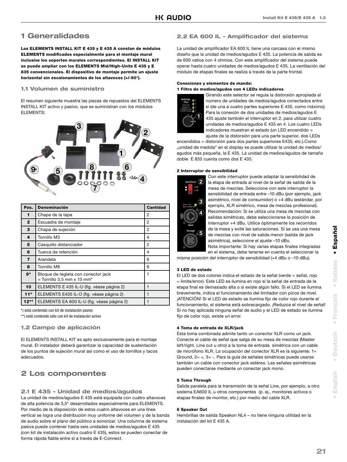### **1 Generalidades**

**Los ELEMENTS INSTALL KIT E 435 y E 435 A constan de módulos ELEMENTS modifi cados especialmente para el montaje mural inclusive los soportes murales correspondientes. El INSTALL KIT se puede ampliar con los ELEMENTS Mid/High-Units E 435 y E 835 convencionales. El dispositivo de montaje permite un ajuste horizontal sin escalonamientos de los altavoces (+/-90°).** 

#### **1.1 Volumen de suministro**

El resumen siguiente muestra las piezas de repuestos del ELEMENTS INSTALL KIT activo y pasivo, que se suministran con los módulos ELEMENTS:



| Pos.           | <b>Denominación</b>                                               | <b>Cantidad</b> |
|----------------|-------------------------------------------------------------------|-----------------|
| 1              | Chapa de la tapa                                                  | 2               |
| $\mathbf{2}$   | Escuadra de montaje                                               | 2               |
| З              | Chapa de sujeción                                                 | 2               |
| 4              | Tornillo M3                                                       | 4               |
| 5              | Casquillo distanciador                                            | 2               |
| 6              | Tuerca de retención                                               | 4               |
| $\overline{7}$ | Arandela                                                          | 6               |
| 8              | Tornillo M8                                                       | 6               |
| $9*$           | Bloque de regleta con conector jack<br>+ Tornillo 3,5 mm x 13 mm* |                 |
| 10             | ELEMENTS E 435 IL-U (fig. véase página 2)                         | 1               |
| $11*$          | ELEMENTS E435 IL-O (fig. véase página 2)                          |                 |
| $12**$         | ELEMENTS EA 600 IL-U (fig. véase página 2)                        |                 |

\*) está contenido con kit de instalación pasivo

\*\*) está contenido sólo con kit de instalación activo

#### **1.2 Campo de aplicación**

El ELEMENTS INSTALL KIT es apto exclusivamente para el montaje mural. El instalador deberá garantizar la capacidad de sustentación de los puntos de sujeción mural así como el uso de tornillos y tacos adecuados.

### **2 Los componentes**

#### **2.1 E 435 – Unidad de medios/agudos**

La unidad de medios/agudos E 435 está equipada con cuatro altavoces de alta potencia de 3,5" desarrollados especialmente para ELEMENTS. Por medio de la disposición de estos cuatro altavoces en una línea vertical se logra una distribución muy uniforme del volumen y de la banda de audio sobre el plano del público a sonorizar. Una columna de sistema pasiva puede contener hasta seis unidades de medios/agudos E 435 (con kit de instalación activo cuatro E 435), estos se pueden conectar de forma rápida fiable entre sí a través de E-Connect.

#### **2.2 EA 600 IL – Amplificador del sistema**

La unidad de amplificador EA 600 IL tiene una carcasa con el mismo diseño que la unidad de medios/agudos E 435. La potencia de salida es de 600 vatios con 4 ohmios. Con este amplificador del sistema puede operar hasta cuatro unidades de medios/agudos E 435. La ventilación del módulo de etapas finales se realiza a través de la parte frontal.

#### **Conexiones y elementos de mando: 1 Filtro de medios/agudos con 4 LEDs indicadores**



Girando este selector se regula la distorsión apropiada al número de unidades de medios/agudos conectados entre sí (de una a cuatro partes superiores E 435, como máximo). Para la conexión de dos unidades de medios/agudos E 435 ajuste también el interruptor en 2, para utilizar cuatro unidades de medios/agudos E 435 en 4. Los cuatro LEDs indicadores muestran el estado (un LED encendido = ajuste de la distorsión para una parte superior, dos LEDs

encendidos = distorsión para dos partes superiores E435, etc.).Como "unidad de medida" en el display se puede utilizar la unidad de medios/ agudos más pequeña, la E 435. La unidad de medios/agudos de tamaño doble E 835 cuenta como dos E 435.

#### **2 Interruptor de sensibilidad**



Con este interruptor puede adaptar la sensibilidad de la etapa de entrada al nivel de la señal de salida de la mesa de mezclas. Seleccione con este interruptor la sensibilidad de entrada entre –10 dBu (por ejemplo, jack asimétrico, nivel de consumidor) o +4 dBu (estándar, por ejemplo, XLR simétrico, mesa de mezclas profesional). Recomendación: Si se utiliza una mesa de mezclas con salidas simétricas, debe seleccionarse la posición de interruptor +4 dBu. Utilice óptimamente los recorridos de la mesa y evite las saturaciones. Si se usa una mesa de mezclas con nivel de salida menor (salida de jack asimétrica), seleccione el ajuste –10 dBu. Nota importante: Si hay varias etapas finales integradas

en el sistema, debe tenerse en cuenta el seleccionar la misma posición del interruptor de sensibilidad (+4 dBu o –10 dBu).

#### **3 LED de estado**

El LED de dos colores indica el estado de la señal (verde = señal, rojo = límite/error). Este LED se ilumina en rojo si la señal de entrada de la etapa final es demasiado alta o si existe algún fallo. Si el LED se ilumina brevemente, indica el funcionamiento del limitador con picos de nivel. ¡ATENCIÓN! Si el LED de estado se ilumina fijo de color rojo durante el funcionamiento, el sistema está sobrecargado. ¡Reduzca el nivel de señal! Si no hay aplicada ninguna señal de audio y el LED de estado se ilumina fijo de color rojo, existe un error.

#### **4 Toma de entrada de XLR/jack**

Esta toma combinada admite tanto un conector XLR como un jack. Conecte el cable de señal que salga de su mesa de mezclas (Master left/right, Line out u otro) a la toma de entrada simétrica con un cable de micrófono XLR. La ocupación del conector XLR es la siguiente: 1= Ground, 2= +, 3= -. Para la guía de señales simétricas puede usarse también un cable con conector jack estéreo. Las señales asimétricas pueden conectarse mediante un conectar jack mono.

#### **5 Toma Through**

Salida paralela para la transmisión de la señal Line, por ejemplo, a otro sistema EA600 IL u otros componentes (p. ej., monitores activos o etapas finales de monitor, etc.) por medio del cable XLR.

#### **6 Speaker Out**

Hembrillas de salida Speakon NL4 – no tiene ninguna utilidad en la instalación del kit E 435 A.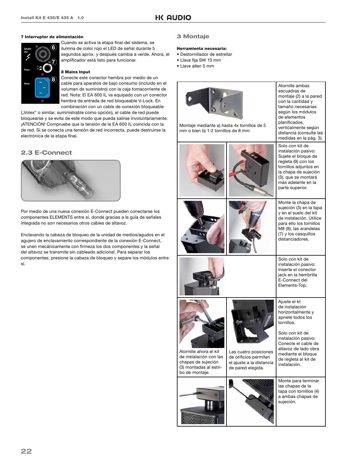#### **7 Interruptor de alimentación**



Cuando se activa la etapa final del sistema, se ilumina de color rojo el LED de señal durante 5 segundos aprox. y después cambia a verde. Ahora, el amplificador está listo para funcionar.

#### **8 Mains Input**

Conecte este conector hembra por medio de un cable para aparatos de bajo consumo (incluido en el volumen de suministro) con la caja tomacorriente de red. Nota: El EA 600 IL va equipado con un conector hembra de entrada de red bloqueable V-Lock. En combinación con un cable de conexión bloqueable

("Volex" o similar, suministrable como opción), el cable de red puede bloquearse y se evita de este modo que pueda salirse involuntariamente. ¡ATENCIÓN! Compruebe que la tensión de la EA 600 IL coincida con la de red. Si se conecta una tensión de red incorrecta, puede destruirse la electrónica de la etapa final.

#### **2.3 E-Connect**



Por medio de una nueva conexión E-Connect pueden conectarse los componentes ELEMENTS entre sí, donde gracias a la guía de señales integrada no son necesarios otros cables de altavoz.

Enclavando la cabeza de bloqueo de la unidad de medios/agudos en el agujero de enclavamiento correspondiente de la conexión E-Connect, se unen mecánicamente con firmeza los dos componentes y la señal del altavoz se transmite sin cableado adicional. Para separar los componentes, presione la cabeza de bloqueo y separe los módulos entre sí.

#### **3 Montaje**

#### **Herramienta necesaria:**

- Destornillador de estrellar
- Llave fiia SW 13 mm
- Llave allen 5 mm

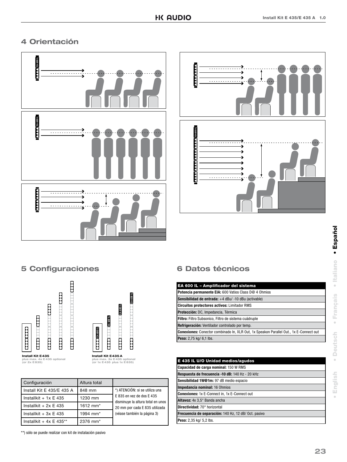### **4 Orientación**





### **5 Configuraciones**



| Configuración               | Altura total         |                                                                                                  |
|-----------------------------|----------------------|--------------------------------------------------------------------------------------------------|
| Install Kit E 435/E 435 A   | 848 mm               | *) ATENCIÓN: si se utiliza una<br>E 835 en vez de dos E 435<br>disminuye la altura total en unos |
| Installkit + $1x \nE 435$   | 1230 mm              |                                                                                                  |
| Installkit + $2x \nE 435$   | 1612 mm <sup>*</sup> | 20 mm por cada E 835 utilizada                                                                   |
| Installkit + $3x \nE 435$   | 1994 mm <sup>*</sup> | (véase también la página 3)                                                                      |
| Installkit + $4x \nE 435**$ | 2376 mm <sup>*</sup> |                                                                                                  |

\*\*) sólo se puede realizar con kit de instalación pasivo

### **6 Datos técnicos**

| EA 600 IL - Amplificador del sistema                                                          |
|-----------------------------------------------------------------------------------------------|
| <b>Potencia permanente EIA: 600 Vatios Class D@ 4 Ohmios</b>                                  |
| Sensibilidad de entrada: +4 dBu/ -10 dBu (activable)                                          |
| <b>Circuitos protectores activos: Limitador RMS</b>                                           |
| Protección: DC, Impedancia, Térmica                                                           |
| Filtro: Filtro Subsonico, Filtro de sistema cuádruple                                         |
| Refrigeración: Ventilador controlado por temp.                                                |
| <b>Conexiones:</b> Conector combinado In, XLR Out, 1x Speakon Parallel Out., 1x E-Connect out |
| Peso: 2,75 kg/ 6,1 lbs.                                                                       |

| E 435 IL U/O Unidad medios/agudos                    |
|------------------------------------------------------|
| Capacidad de carga nominal: 150 W RMS                |
| Respuesta de frecuencia -10 dB: 140 Hz - 20 kHz      |
| Sensibilidad 1W@1m: 97 dB medio espacio              |
| <b>Impedancia nominal: 16 Ohmios</b>                 |
| <b>Conexiones: 1x E-Connect in, 1x E-Connect out</b> |
| Altavoz: 4x 3,5" Banda ancha                         |
| Directividad: 70° horizontal                         |
| Frecuencia de separación: 140 Hz, 12 dB/ Oct. pasivo |
| Peso: 2,35 kg/ 5,2 lbs.                              |

 $\alpha$